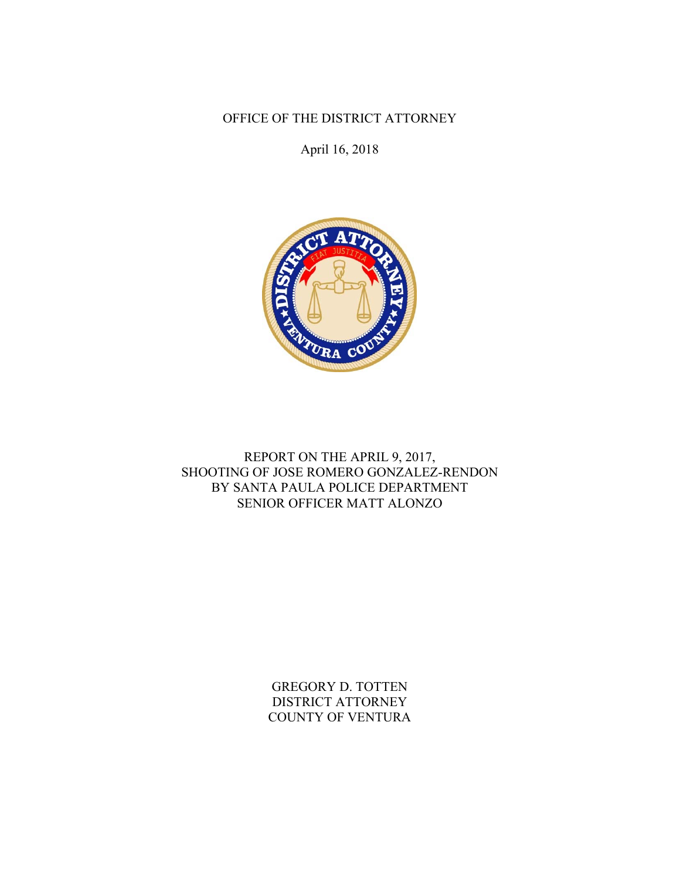OFFICE OF THE DISTRICT ATTORNEY

April 16, 2018



REPORT ON THE APRIL 9, 2017, SHOOTING OF JOSE ROMERO GONZALEZ-RENDON BY SANTA PAULA POLICE DEPARTMENT SENIOR OFFICER MATT ALONZO

> GREGORY D. TOTTEN DISTRICT ATTORNEY COUNTY OF VENTURA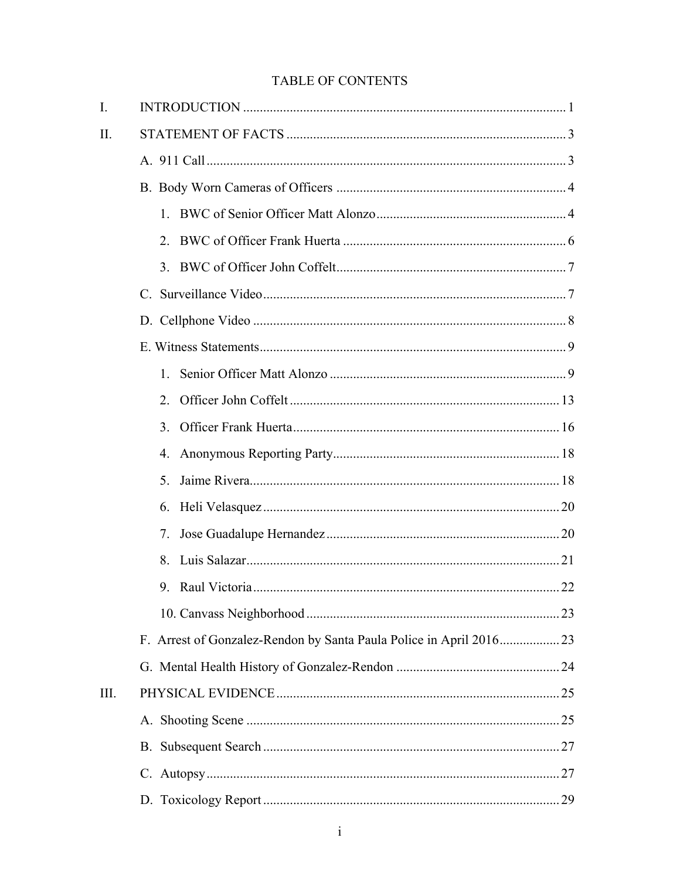# **TABLE OF CONTENTS**

| I.   |                                                                    |  |
|------|--------------------------------------------------------------------|--|
| II.  |                                                                    |  |
|      |                                                                    |  |
|      |                                                                    |  |
|      |                                                                    |  |
|      | 2.                                                                 |  |
|      |                                                                    |  |
|      |                                                                    |  |
|      |                                                                    |  |
|      |                                                                    |  |
|      | $1_{-}$                                                            |  |
|      | 2.                                                                 |  |
|      | 3.                                                                 |  |
|      | 4.                                                                 |  |
|      | 5.                                                                 |  |
|      | 6.                                                                 |  |
|      | 7.                                                                 |  |
|      | 8.                                                                 |  |
|      |                                                                    |  |
|      |                                                                    |  |
|      | F. Arrest of Gonzalez-Rendon by Santa Paula Police in April 201623 |  |
|      |                                                                    |  |
| III. |                                                                    |  |
|      |                                                                    |  |
|      |                                                                    |  |
|      |                                                                    |  |
|      |                                                                    |  |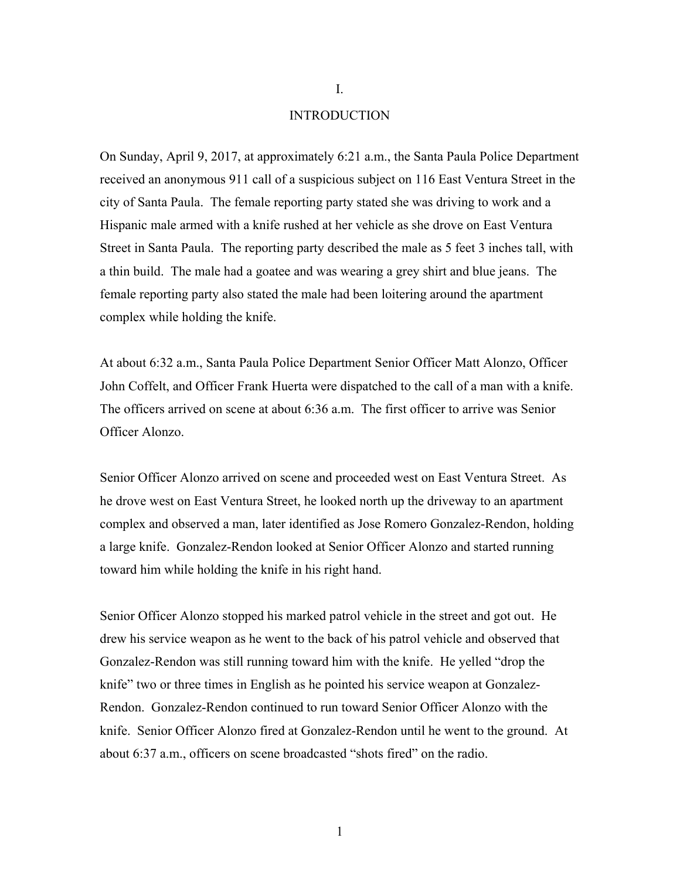#### INTRODUCTION

On Sunday, April 9, 2017, at approximately 6:21 a.m., the Santa Paula Police Department received an anonymous 911 call of a suspicious subject on 116 East Ventura Street in the city of Santa Paula. The female reporting party stated she was driving to work and a Hispanic male armed with a knife rushed at her vehicle as she drove on East Ventura Street in Santa Paula. The reporting party described the male as 5 feet 3 inches tall, with a thin build. The male had a goatee and was wearing a grey shirt and blue jeans. The female reporting party also stated the male had been loitering around the apartment complex while holding the knife.

At about 6:32 a.m., Santa Paula Police Department Senior Officer Matt Alonzo, Officer John Coffelt, and Officer Frank Huerta were dispatched to the call of a man with a knife. The officers arrived on scene at about 6:36 a.m. The first officer to arrive was Senior Officer Alonzo.

Senior Officer Alonzo arrived on scene and proceeded west on East Ventura Street. As he drove west on East Ventura Street, he looked north up the driveway to an apartment complex and observed a man, later identified as Jose Romero Gonzalez-Rendon, holding a large knife. Gonzalez-Rendon looked at Senior Officer Alonzo and started running toward him while holding the knife in his right hand.

Senior Officer Alonzo stopped his marked patrol vehicle in the street and got out. He drew his service weapon as he went to the back of his patrol vehicle and observed that Gonzalez-Rendon was still running toward him with the knife. He yelled "drop the knife" two or three times in English as he pointed his service weapon at Gonzalez-Rendon. Gonzalez-Rendon continued to run toward Senior Officer Alonzo with the knife. Senior Officer Alonzo fired at Gonzalez-Rendon until he went to the ground. At about 6:37 a.m., officers on scene broadcasted "shots fired" on the radio.

I.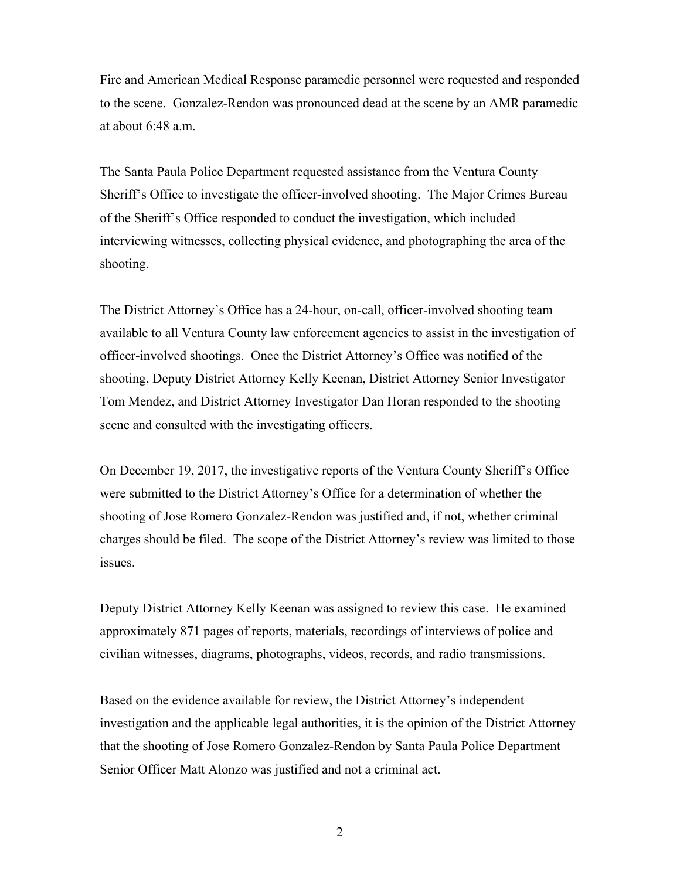Fire and American Medical Response paramedic personnel were requested and responded to the scene. Gonzalez-Rendon was pronounced dead at the scene by an AMR paramedic at about 6:48 a.m.

The Santa Paula Police Department requested assistance from the Ventura County Sheriff's Office to investigate the officer-involved shooting. The Major Crimes Bureau of the Sheriff's Office responded to conduct the investigation, which included interviewing witnesses, collecting physical evidence, and photographing the area of the shooting.

The District Attorney's Office has a 24-hour, on-call, officer-involved shooting team available to all Ventura County law enforcement agencies to assist in the investigation of officer-involved shootings. Once the District Attorney's Office was notified of the shooting, Deputy District Attorney Kelly Keenan, District Attorney Senior Investigator Tom Mendez, and District Attorney Investigator Dan Horan responded to the shooting scene and consulted with the investigating officers.

On December 19, 2017, the investigative reports of the Ventura County Sheriff's Office were submitted to the District Attorney's Office for a determination of whether the shooting of Jose Romero Gonzalez-Rendon was justified and, if not, whether criminal charges should be filed. The scope of the District Attorney's review was limited to those issues.

Deputy District Attorney Kelly Keenan was assigned to review this case. He examined approximately 871 pages of reports, materials, recordings of interviews of police and civilian witnesses, diagrams, photographs, videos, records, and radio transmissions.

Based on the evidence available for review, the District Attorney's independent investigation and the applicable legal authorities, it is the opinion of the District Attorney that the shooting of Jose Romero Gonzalez-Rendon by Santa Paula Police Department Senior Officer Matt Alonzo was justified and not a criminal act.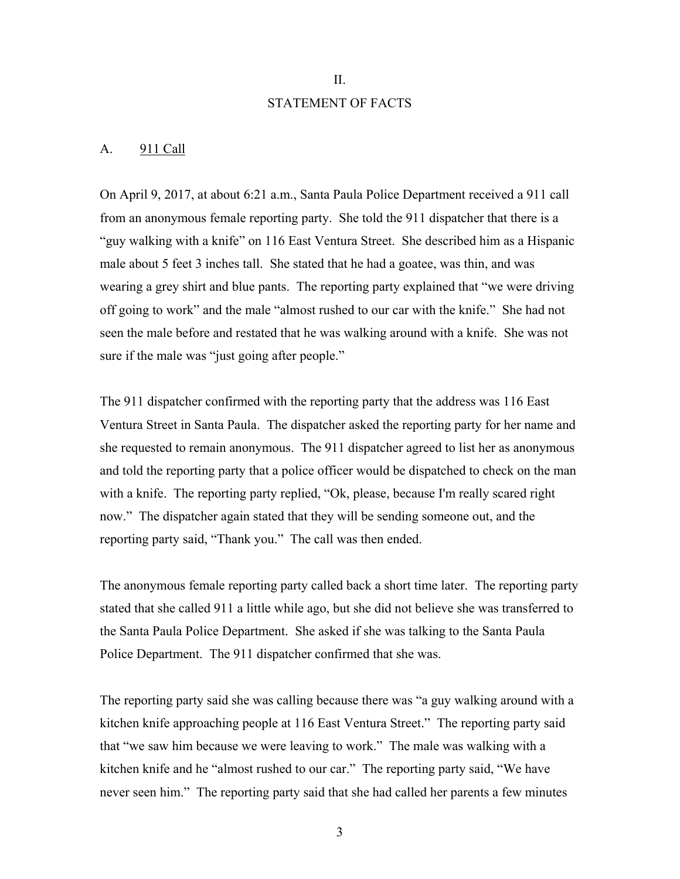# II. STATEMENT OF FACTS

#### A. 911 Call

On April 9, 2017, at about 6:21 a.m., Santa Paula Police Department received a 911 call from an anonymous female reporting party. She told the 911 dispatcher that there is a "guy walking with a knife" on 116 East Ventura Street. She described him as a Hispanic male about 5 feet 3 inches tall. She stated that he had a goatee, was thin, and was wearing a grey shirt and blue pants. The reporting party explained that "we were driving off going to work" and the male "almost rushed to our car with the knife." She had not seen the male before and restated that he was walking around with a knife. She was not sure if the male was "just going after people."

The 911 dispatcher confirmed with the reporting party that the address was 116 East Ventura Street in Santa Paula. The dispatcher asked the reporting party for her name and she requested to remain anonymous. The 911 dispatcher agreed to list her as anonymous and told the reporting party that a police officer would be dispatched to check on the man with a knife. The reporting party replied, "Ok, please, because I'm really scared right now." The dispatcher again stated that they will be sending someone out, and the reporting party said, "Thank you." The call was then ended.

The anonymous female reporting party called back a short time later. The reporting party stated that she called 911 a little while ago, but she did not believe she was transferred to the Santa Paula Police Department. She asked if she was talking to the Santa Paula Police Department. The 911 dispatcher confirmed that she was.

The reporting party said she was calling because there was "a guy walking around with a kitchen knife approaching people at 116 East Ventura Street." The reporting party said that "we saw him because we were leaving to work." The male was walking with a kitchen knife and he "almost rushed to our car." The reporting party said, "We have never seen him." The reporting party said that she had called her parents a few minutes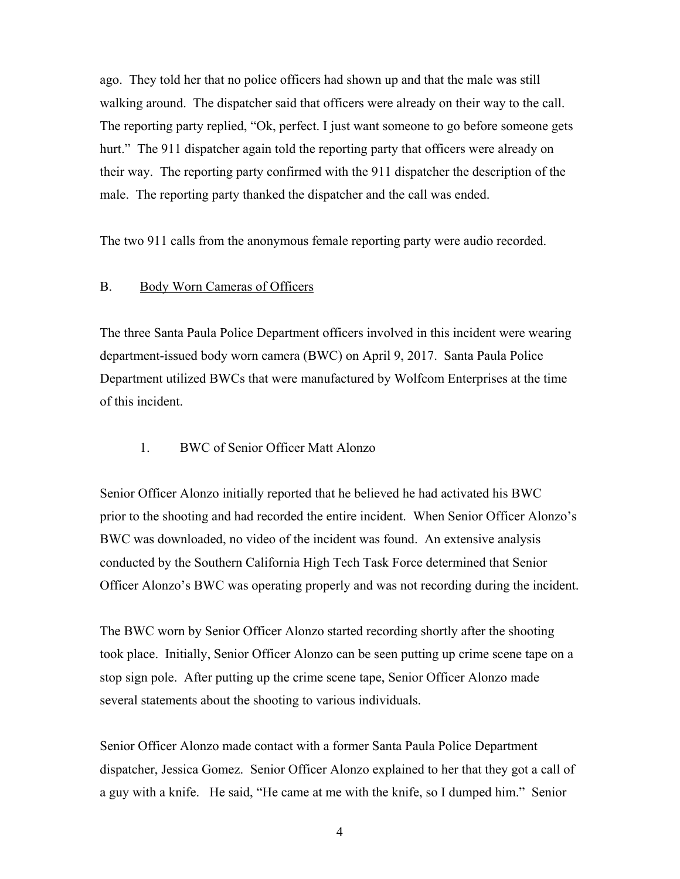ago. They told her that no police officers had shown up and that the male was still walking around. The dispatcher said that officers were already on their way to the call. The reporting party replied, "Ok, perfect. I just want someone to go before someone gets hurt." The 911 dispatcher again told the reporting party that officers were already on their way. The reporting party confirmed with the 911 dispatcher the description of the male. The reporting party thanked the dispatcher and the call was ended.

The two 911 calls from the anonymous female reporting party were audio recorded.

### B. Body Worn Cameras of Officers

The three Santa Paula Police Department officers involved in this incident were wearing department-issued body worn camera (BWC) on April 9, 2017. Santa Paula Police Department utilized BWCs that were manufactured by Wolfcom Enterprises at the time of this incident.

### 1. BWC of Senior Officer Matt Alonzo

Senior Officer Alonzo initially reported that he believed he had activated his BWC prior to the shooting and had recorded the entire incident. When Senior Officer Alonzo's BWC was downloaded, no video of the incident was found. An extensive analysis conducted by the Southern California High Tech Task Force determined that Senior Officer Alonzo's BWC was operating properly and was not recording during the incident.

The BWC worn by Senior Officer Alonzo started recording shortly after the shooting took place. Initially, Senior Officer Alonzo can be seen putting up crime scene tape on a stop sign pole. After putting up the crime scene tape, Senior Officer Alonzo made several statements about the shooting to various individuals.

Senior Officer Alonzo made contact with a former Santa Paula Police Department dispatcher, Jessica Gomez. Senior Officer Alonzo explained to her that they got a call of a guy with a knife. He said, "He came at me with the knife, so I dumped him." Senior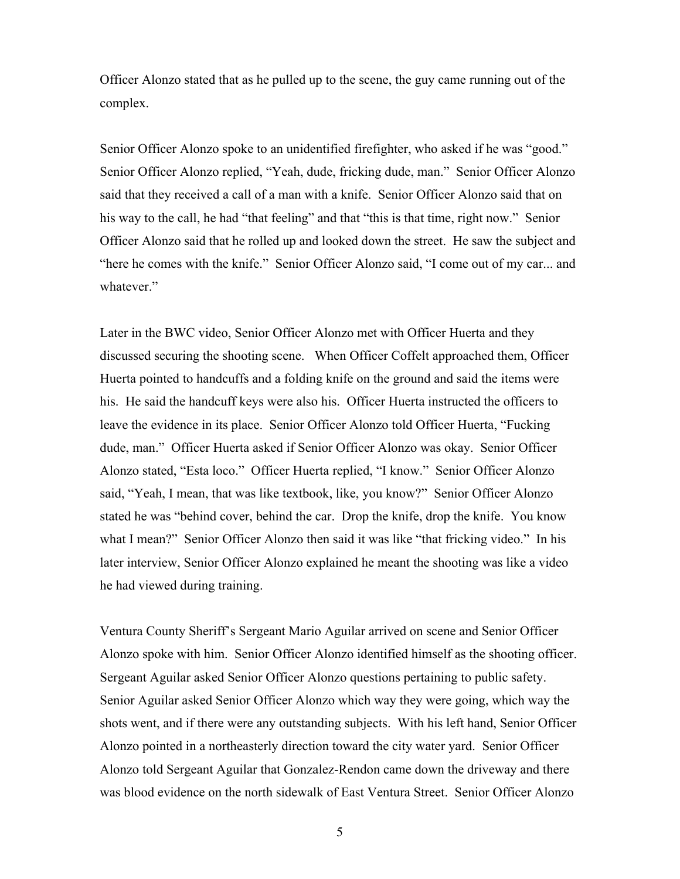Officer Alonzo stated that as he pulled up to the scene, the guy came running out of the complex.

Senior Officer Alonzo spoke to an unidentified firefighter, who asked if he was "good." Senior Officer Alonzo replied, "Yeah, dude, fricking dude, man." Senior Officer Alonzo said that they received a call of a man with a knife. Senior Officer Alonzo said that on his way to the call, he had "that feeling" and that "this is that time, right now." Senior Officer Alonzo said that he rolled up and looked down the street. He saw the subject and "here he comes with the knife." Senior Officer Alonzo said, "I come out of my car... and whatever."

Later in the BWC video, Senior Officer Alonzo met with Officer Huerta and they discussed securing the shooting scene. When Officer Coffelt approached them, Officer Huerta pointed to handcuffs and a folding knife on the ground and said the items were his. He said the handcuff keys were also his. Officer Huerta instructed the officers to leave the evidence in its place. Senior Officer Alonzo told Officer Huerta, "Fucking dude, man." Officer Huerta asked if Senior Officer Alonzo was okay. Senior Officer Alonzo stated, "Esta loco." Officer Huerta replied, "I know." Senior Officer Alonzo said, "Yeah, I mean, that was like textbook, like, you know?" Senior Officer Alonzo stated he was "behind cover, behind the car. Drop the knife, drop the knife. You know what I mean?" Senior Officer Alonzo then said it was like "that fricking video." In his later interview, Senior Officer Alonzo explained he meant the shooting was like a video he had viewed during training.

Ventura County Sheriff's Sergeant Mario Aguilar arrived on scene and Senior Officer Alonzo spoke with him. Senior Officer Alonzo identified himself as the shooting officer. Sergeant Aguilar asked Senior Officer Alonzo questions pertaining to public safety. Senior Aguilar asked Senior Officer Alonzo which way they were going, which way the shots went, and if there were any outstanding subjects. With his left hand, Senior Officer Alonzo pointed in a northeasterly direction toward the city water yard. Senior Officer Alonzo told Sergeant Aguilar that Gonzalez-Rendon came down the driveway and there was blood evidence on the north sidewalk of East Ventura Street. Senior Officer Alonzo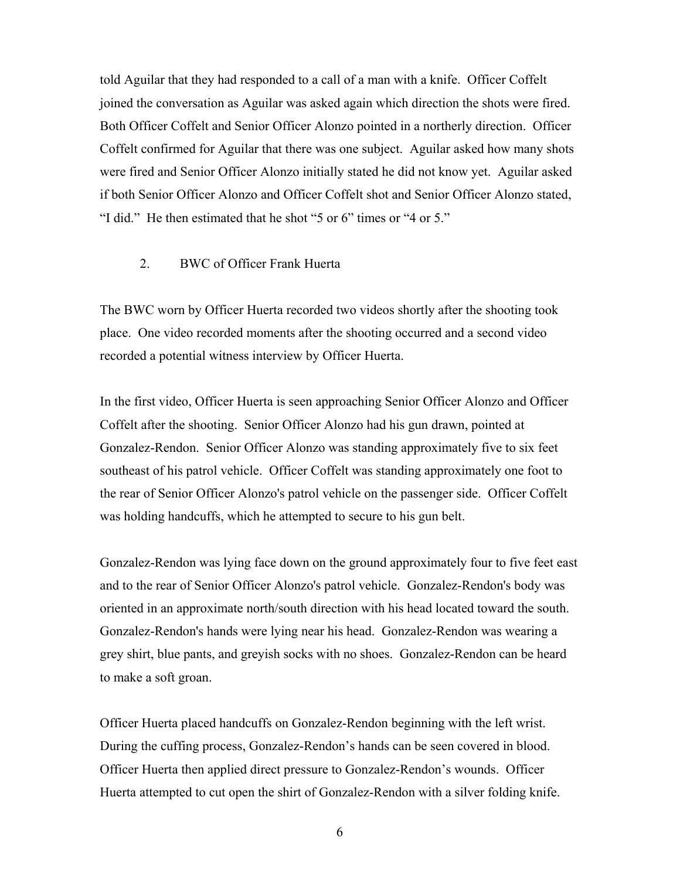told Aguilar that they had responded to a call of a man with a knife. Officer Coffelt joined the conversation as Aguilar was asked again which direction the shots were fired. Both Officer Coffelt and Senior Officer Alonzo pointed in a northerly direction. Officer Coffelt confirmed for Aguilar that there was one subject. Aguilar asked how many shots were fired and Senior Officer Alonzo initially stated he did not know yet. Aguilar asked if both Senior Officer Alonzo and Officer Coffelt shot and Senior Officer Alonzo stated, "I did." He then estimated that he shot "5 or 6" times or "4 or 5."

### 2. BWC of Officer Frank Huerta

The BWC worn by Officer Huerta recorded two videos shortly after the shooting took place. One video recorded moments after the shooting occurred and a second video recorded a potential witness interview by Officer Huerta.

In the first video, Officer Huerta is seen approaching Senior Officer Alonzo and Officer Coffelt after the shooting. Senior Officer Alonzo had his gun drawn, pointed at Gonzalez-Rendon. Senior Officer Alonzo was standing approximately five to six feet southeast of his patrol vehicle. Officer Coffelt was standing approximately one foot to the rear of Senior Officer Alonzo's patrol vehicle on the passenger side. Officer Coffelt was holding handcuffs, which he attempted to secure to his gun belt.

Gonzalez-Rendon was lying face down on the ground approximately four to five feet east and to the rear of Senior Officer Alonzo's patrol vehicle. Gonzalez-Rendon's body was oriented in an approximate north/south direction with his head located toward the south. Gonzalez-Rendon's hands were lying near his head. Gonzalez-Rendon was wearing a grey shirt, blue pants, and greyish socks with no shoes. Gonzalez-Rendon can be heard to make a soft groan.

Officer Huerta placed handcuffs on Gonzalez-Rendon beginning with the left wrist. During the cuffing process, Gonzalez-Rendon's hands can be seen covered in blood. Officer Huerta then applied direct pressure to Gonzalez-Rendon's wounds. Officer Huerta attempted to cut open the shirt of Gonzalez-Rendon with a silver folding knife.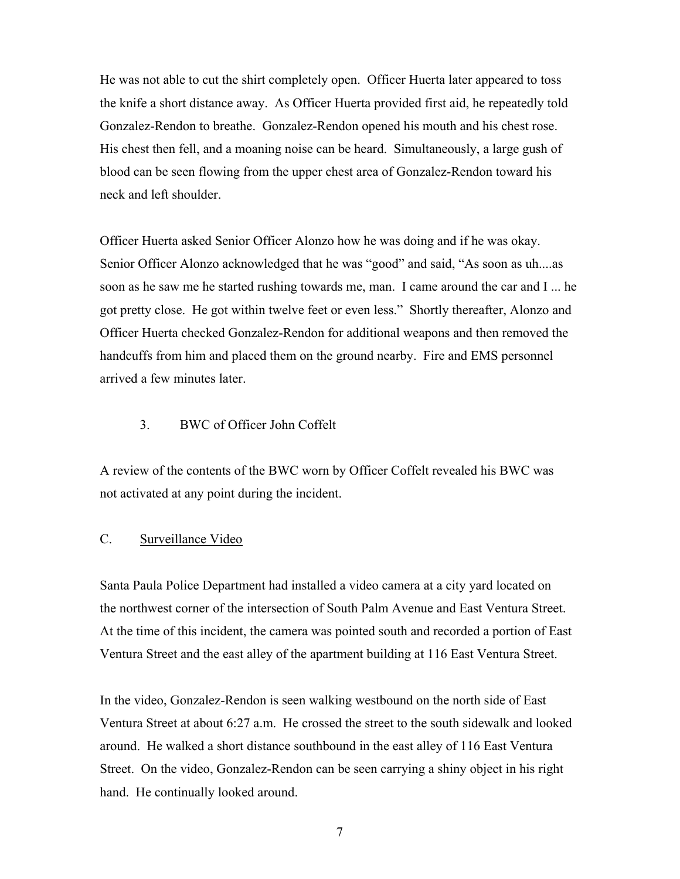He was not able to cut the shirt completely open. Officer Huerta later appeared to toss the knife a short distance away. As Officer Huerta provided first aid, he repeatedly told Gonzalez-Rendon to breathe. Gonzalez-Rendon opened his mouth and his chest rose. His chest then fell, and a moaning noise can be heard. Simultaneously, a large gush of blood can be seen flowing from the upper chest area of Gonzalez-Rendon toward his neck and left shoulder.

Officer Huerta asked Senior Officer Alonzo how he was doing and if he was okay. Senior Officer Alonzo acknowledged that he was "good" and said, "As soon as uh....as soon as he saw me he started rushing towards me, man. I came around the car and I ... he got pretty close. He got within twelve feet or even less." Shortly thereafter, Alonzo and Officer Huerta checked Gonzalez-Rendon for additional weapons and then removed the handcuffs from him and placed them on the ground nearby. Fire and EMS personnel arrived a few minutes later.

### 3. BWC of Officer John Coffelt

A review of the contents of the BWC worn by Officer Coffelt revealed his BWC was not activated at any point during the incident.

### C. Surveillance Video

Santa Paula Police Department had installed a video camera at a city yard located on the northwest corner of the intersection of South Palm Avenue and East Ventura Street. At the time of this incident, the camera was pointed south and recorded a portion of East Ventura Street and the east alley of the apartment building at 116 East Ventura Street.

In the video, Gonzalez-Rendon is seen walking westbound on the north side of East Ventura Street at about 6:27 a.m. He crossed the street to the south sidewalk and looked around. He walked a short distance southbound in the east alley of 116 East Ventura Street. On the video, Gonzalez-Rendon can be seen carrying a shiny object in his right hand. He continually looked around.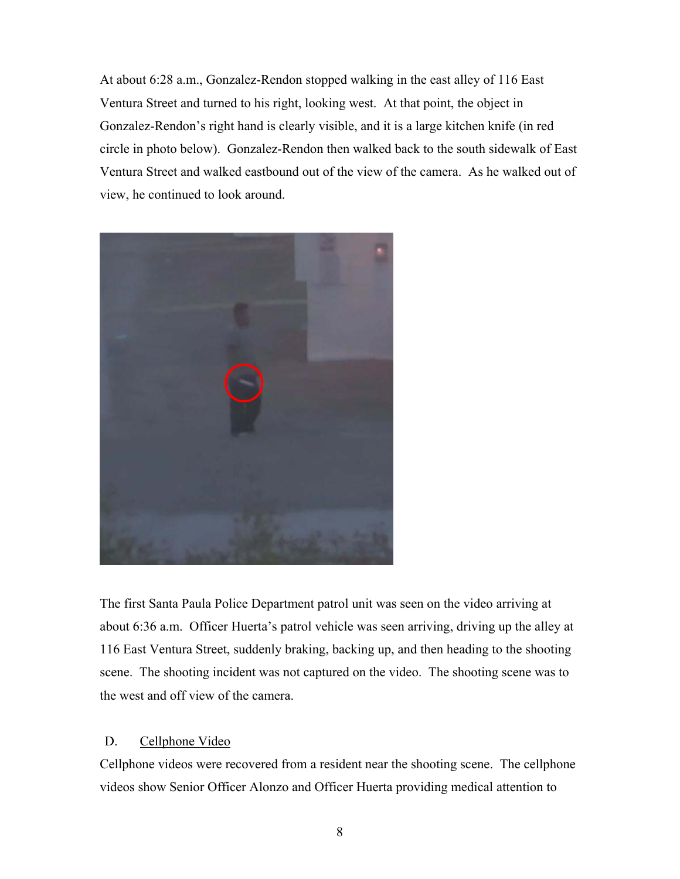At about 6:28 a.m., Gonzalez-Rendon stopped walking in the east alley of 116 East Ventura Street and turned to his right, looking west. At that point, the object in Gonzalez-Rendon's right hand is clearly visible, and it is a large kitchen knife (in red circle in photo below). Gonzalez-Rendon then walked back to the south sidewalk of East Ventura Street and walked eastbound out of the view of the camera. As he walked out of view, he continued to look around.



The first Santa Paula Police Department patrol unit was seen on the video arriving at about 6:36 a.m. Officer Huerta's patrol vehicle was seen arriving, driving up the alley at 116 East Ventura Street, suddenly braking, backing up, and then heading to the shooting scene. The shooting incident was not captured on the video. The shooting scene was to the west and off view of the camera.

### D. Cellphone Video

Cellphone videos were recovered from a resident near the shooting scene. The cellphone videos show Senior Officer Alonzo and Officer Huerta providing medical attention to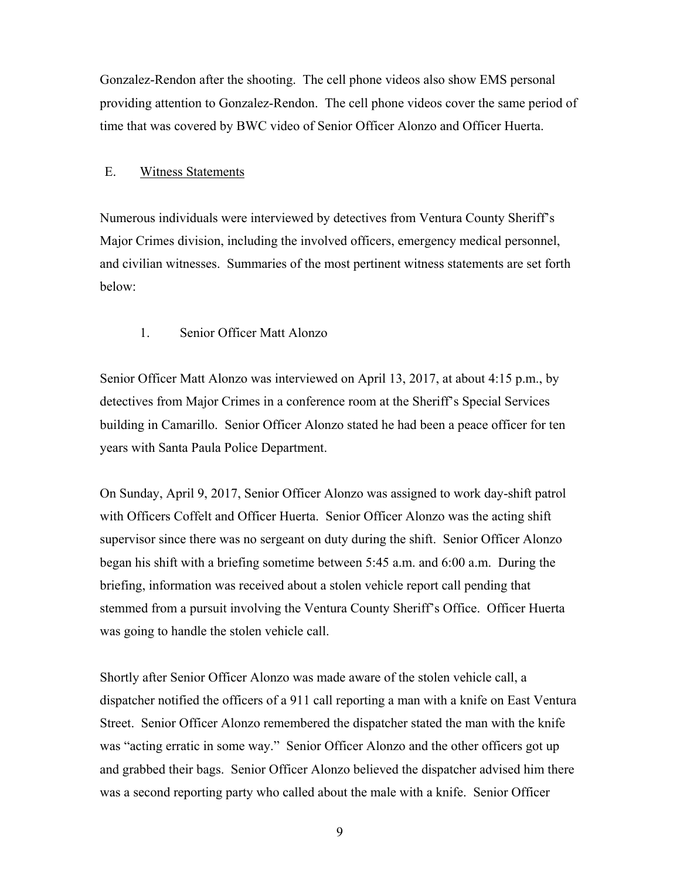Gonzalez-Rendon after the shooting. The cell phone videos also show EMS personal providing attention to Gonzalez-Rendon. The cell phone videos cover the same period of time that was covered by BWC video of Senior Officer Alonzo and Officer Huerta.

#### E. Witness Statements

Numerous individuals were interviewed by detectives from Ventura County Sheriff's Major Crimes division, including the involved officers, emergency medical personnel, and civilian witnesses. Summaries of the most pertinent witness statements are set forth below:

## 1. Senior Officer Matt Alonzo

Senior Officer Matt Alonzo was interviewed on April 13, 2017, at about 4:15 p.m., by detectives from Major Crimes in a conference room at the Sheriff's Special Services building in Camarillo. Senior Officer Alonzo stated he had been a peace officer for ten years with Santa Paula Police Department.

On Sunday, April 9, 2017, Senior Officer Alonzo was assigned to work day-shift patrol with Officers Coffelt and Officer Huerta. Senior Officer Alonzo was the acting shift supervisor since there was no sergeant on duty during the shift. Senior Officer Alonzo began his shift with a briefing sometime between 5:45 a.m. and 6:00 a.m. During the briefing, information was received about a stolen vehicle report call pending that stemmed from a pursuit involving the Ventura County Sheriff's Office. Officer Huerta was going to handle the stolen vehicle call.

Shortly after Senior Officer Alonzo was made aware of the stolen vehicle call, a dispatcher notified the officers of a 911 call reporting a man with a knife on East Ventura Street. Senior Officer Alonzo remembered the dispatcher stated the man with the knife was "acting erratic in some way." Senior Officer Alonzo and the other officers got up and grabbed their bags. Senior Officer Alonzo believed the dispatcher advised him there was a second reporting party who called about the male with a knife. Senior Officer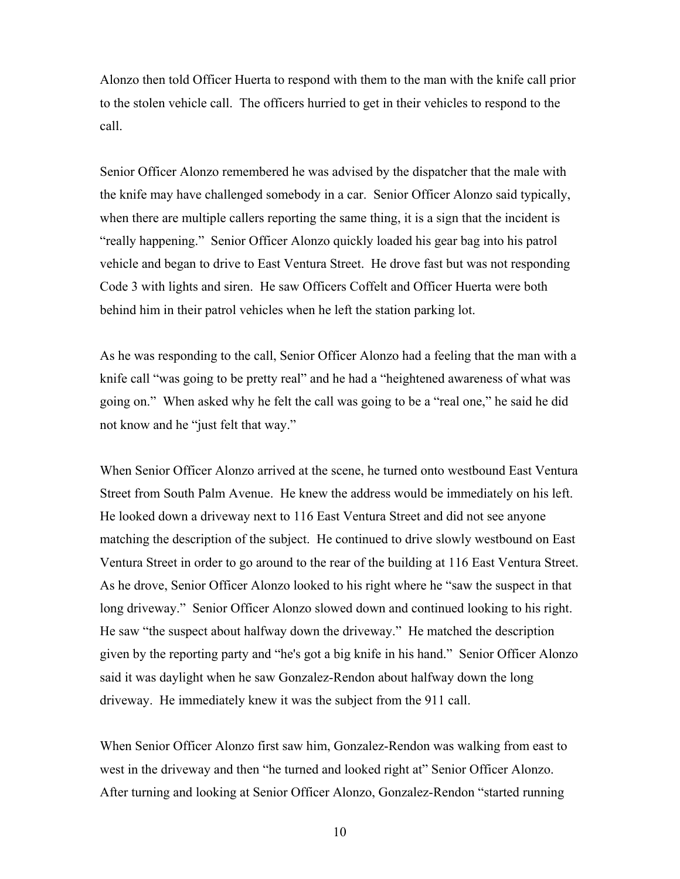Alonzo then told Officer Huerta to respond with them to the man with the knife call prior to the stolen vehicle call. The officers hurried to get in their vehicles to respond to the call.

Senior Officer Alonzo remembered he was advised by the dispatcher that the male with the knife may have challenged somebody in a car. Senior Officer Alonzo said typically, when there are multiple callers reporting the same thing, it is a sign that the incident is "really happening." Senior Officer Alonzo quickly loaded his gear bag into his patrol vehicle and began to drive to East Ventura Street. He drove fast but was not responding Code 3 with lights and siren. He saw Officers Coffelt and Officer Huerta were both behind him in their patrol vehicles when he left the station parking lot.

As he was responding to the call, Senior Officer Alonzo had a feeling that the man with a knife call "was going to be pretty real" and he had a "heightened awareness of what was going on." When asked why he felt the call was going to be a "real one," he said he did not know and he "just felt that way."

When Senior Officer Alonzo arrived at the scene, he turned onto westbound East Ventura Street from South Palm Avenue. He knew the address would be immediately on his left. He looked down a driveway next to 116 East Ventura Street and did not see anyone matching the description of the subject. He continued to drive slowly westbound on East Ventura Street in order to go around to the rear of the building at 116 East Ventura Street. As he drove, Senior Officer Alonzo looked to his right where he "saw the suspect in that long driveway." Senior Officer Alonzo slowed down and continued looking to his right. He saw "the suspect about halfway down the driveway." He matched the description given by the reporting party and "he's got a big knife in his hand." Senior Officer Alonzo said it was daylight when he saw Gonzalez-Rendon about halfway down the long driveway. He immediately knew it was the subject from the 911 call.

When Senior Officer Alonzo first saw him, Gonzalez-Rendon was walking from east to west in the driveway and then "he turned and looked right at" Senior Officer Alonzo. After turning and looking at Senior Officer Alonzo, Gonzalez-Rendon "started running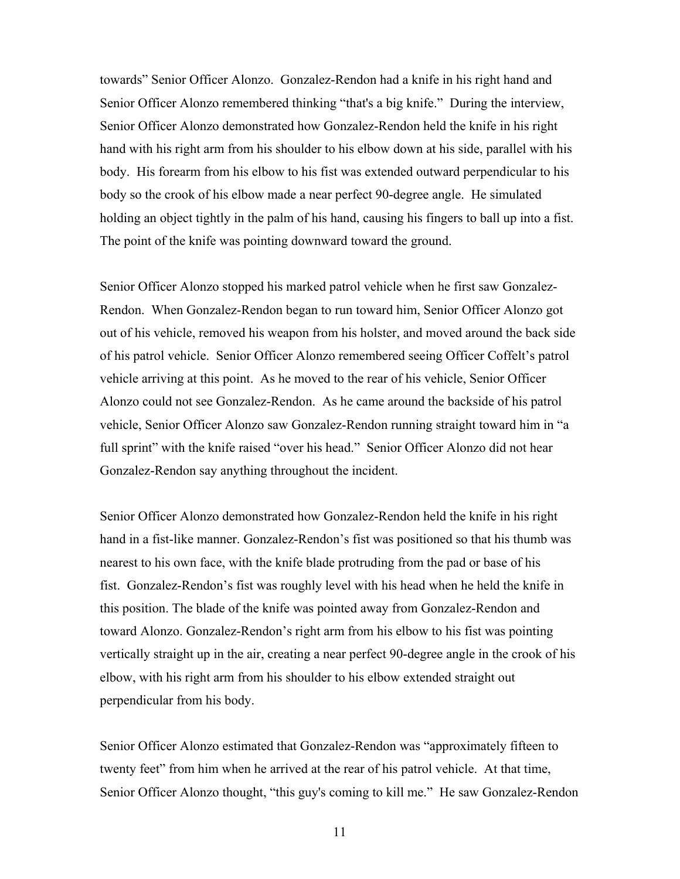towards" Senior Officer Alonzo. Gonzalez-Rendon had a knife in his right hand and Senior Officer Alonzo remembered thinking "that's a big knife." During the interview, Senior Officer Alonzo demonstrated how Gonzalez-Rendon held the knife in his right hand with his right arm from his shoulder to his elbow down at his side, parallel with his body. His forearm from his elbow to his fist was extended outward perpendicular to his body so the crook of his elbow made a near perfect 90-degree angle. He simulated holding an object tightly in the palm of his hand, causing his fingers to ball up into a fist. The point of the knife was pointing downward toward the ground.

Senior Officer Alonzo stopped his marked patrol vehicle when he first saw Gonzalez-Rendon. When Gonzalez-Rendon began to run toward him, Senior Officer Alonzo got out of his vehicle, removed his weapon from his holster, and moved around the back side of his patrol vehicle. Senior Officer Alonzo remembered seeing Officer Coffelt's patrol vehicle arriving at this point. As he moved to the rear of his vehicle, Senior Officer Alonzo could not see Gonzalez-Rendon. As he came around the backside of his patrol vehicle, Senior Officer Alonzo saw Gonzalez-Rendon running straight toward him in "a full sprint" with the knife raised "over his head." Senior Officer Alonzo did not hear Gonzalez-Rendon say anything throughout the incident.

Senior Officer Alonzo demonstrated how Gonzalez-Rendon held the knife in his right hand in a fist-like manner. Gonzalez-Rendon's fist was positioned so that his thumb was nearest to his own face, with the knife blade protruding from the pad or base of his fist. Gonzalez-Rendon's fist was roughly level with his head when he held the knife in this position. The blade of the knife was pointed away from Gonzalez-Rendon and toward Alonzo. Gonzalez-Rendon's right arm from his elbow to his fist was pointing vertically straight up in the air, creating a near perfect 90-degree angle in the crook of his elbow, with his right arm from his shoulder to his elbow extended straight out perpendicular from his body.

Senior Officer Alonzo estimated that Gonzalez-Rendon was "approximately fifteen to twenty feet" from him when he arrived at the rear of his patrol vehicle. At that time, Senior Officer Alonzo thought, "this guy's coming to kill me." He saw Gonzalez-Rendon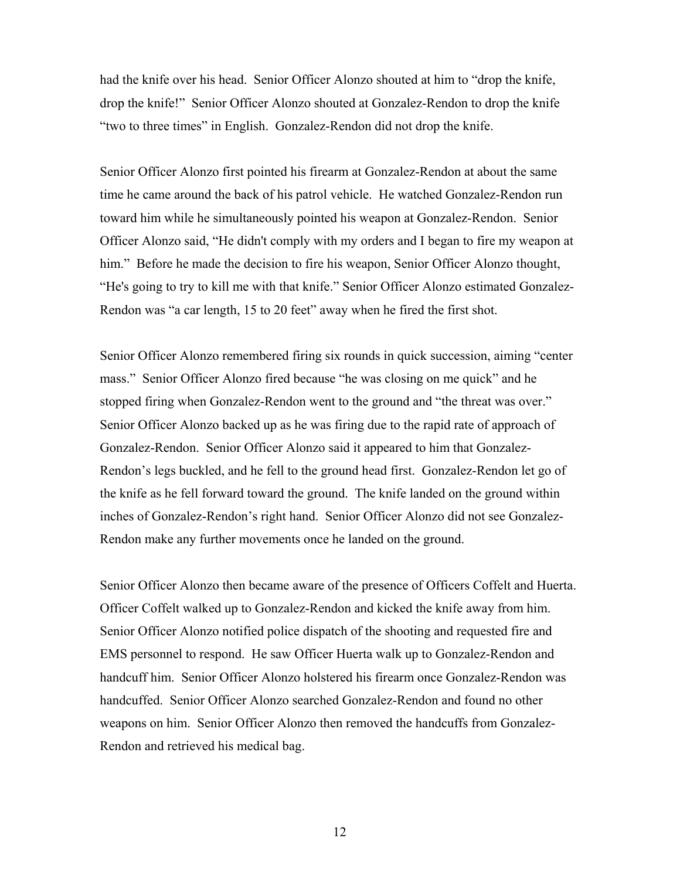had the knife over his head. Senior Officer Alonzo shouted at him to "drop the knife, drop the knife!" Senior Officer Alonzo shouted at Gonzalez-Rendon to drop the knife "two to three times" in English. Gonzalez-Rendon did not drop the knife.

Senior Officer Alonzo first pointed his firearm at Gonzalez-Rendon at about the same time he came around the back of his patrol vehicle. He watched Gonzalez-Rendon run toward him while he simultaneously pointed his weapon at Gonzalez-Rendon. Senior Officer Alonzo said, "He didn't comply with my orders and I began to fire my weapon at him." Before he made the decision to fire his weapon, Senior Officer Alonzo thought, "He's going to try to kill me with that knife." Senior Officer Alonzo estimated Gonzalez-Rendon was "a car length, 15 to 20 feet" away when he fired the first shot.

Senior Officer Alonzo remembered firing six rounds in quick succession, aiming "center mass." Senior Officer Alonzo fired because "he was closing on me quick" and he stopped firing when Gonzalez-Rendon went to the ground and "the threat was over." Senior Officer Alonzo backed up as he was firing due to the rapid rate of approach of Gonzalez-Rendon. Senior Officer Alonzo said it appeared to him that Gonzalez-Rendon's legs buckled, and he fell to the ground head first. Gonzalez-Rendon let go of the knife as he fell forward toward the ground. The knife landed on the ground within inches of Gonzalez-Rendon's right hand. Senior Officer Alonzo did not see Gonzalez-Rendon make any further movements once he landed on the ground.

Senior Officer Alonzo then became aware of the presence of Officers Coffelt and Huerta. Officer Coffelt walked up to Gonzalez-Rendon and kicked the knife away from him. Senior Officer Alonzo notified police dispatch of the shooting and requested fire and EMS personnel to respond. He saw Officer Huerta walk up to Gonzalez-Rendon and handcuff him. Senior Officer Alonzo holstered his firearm once Gonzalez-Rendon was handcuffed. Senior Officer Alonzo searched Gonzalez-Rendon and found no other weapons on him. Senior Officer Alonzo then removed the handcuffs from Gonzalez-Rendon and retrieved his medical bag.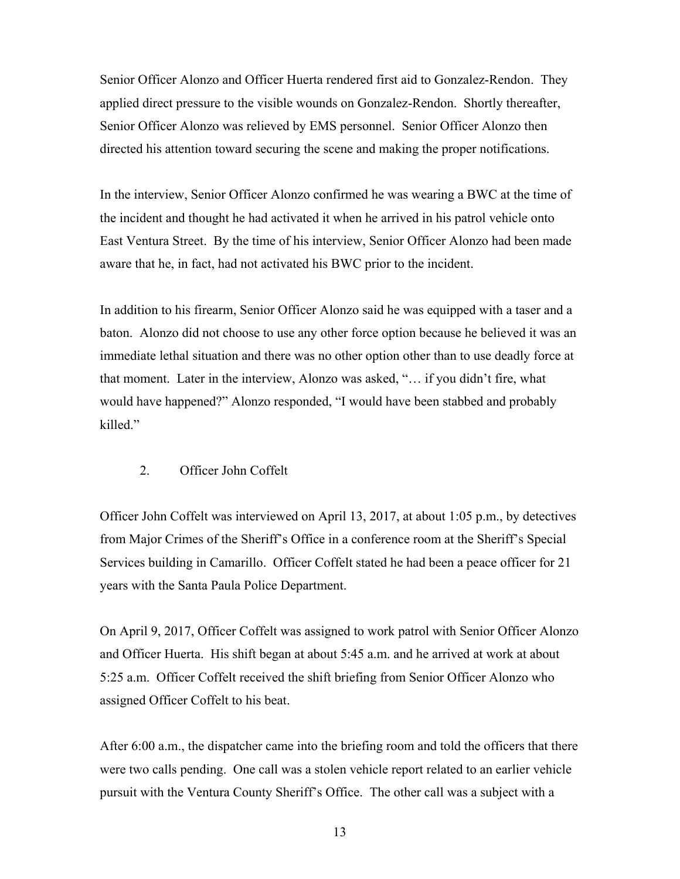Senior Officer Alonzo and Officer Huerta rendered first aid to Gonzalez-Rendon. They applied direct pressure to the visible wounds on Gonzalez-Rendon. Shortly thereafter, Senior Officer Alonzo was relieved by EMS personnel. Senior Officer Alonzo then directed his attention toward securing the scene and making the proper notifications.

In the interview, Senior Officer Alonzo confirmed he was wearing a BWC at the time of the incident and thought he had activated it when he arrived in his patrol vehicle onto East Ventura Street. By the time of his interview, Senior Officer Alonzo had been made aware that he, in fact, had not activated his BWC prior to the incident.

In addition to his firearm, Senior Officer Alonzo said he was equipped with a taser and a baton. Alonzo did not choose to use any other force option because he believed it was an immediate lethal situation and there was no other option other than to use deadly force at that moment. Later in the interview, Alonzo was asked, "… if you didn't fire, what would have happened?" Alonzo responded, "I would have been stabbed and probably killed."

### 2. Officer John Coffelt

Officer John Coffelt was interviewed on April 13, 2017, at about 1:05 p.m., by detectives from Major Crimes of the Sheriff's Office in a conference room at the Sheriff's Special Services building in Camarillo. Officer Coffelt stated he had been a peace officer for 21 years with the Santa Paula Police Department.

On April 9, 2017, Officer Coffelt was assigned to work patrol with Senior Officer Alonzo and Officer Huerta. His shift began at about 5:45 a.m. and he arrived at work at about 5:25 a.m. Officer Coffelt received the shift briefing from Senior Officer Alonzo who assigned Officer Coffelt to his beat.

After 6:00 a.m., the dispatcher came into the briefing room and told the officers that there were two calls pending. One call was a stolen vehicle report related to an earlier vehicle pursuit with the Ventura County Sheriff's Office. The other call was a subject with a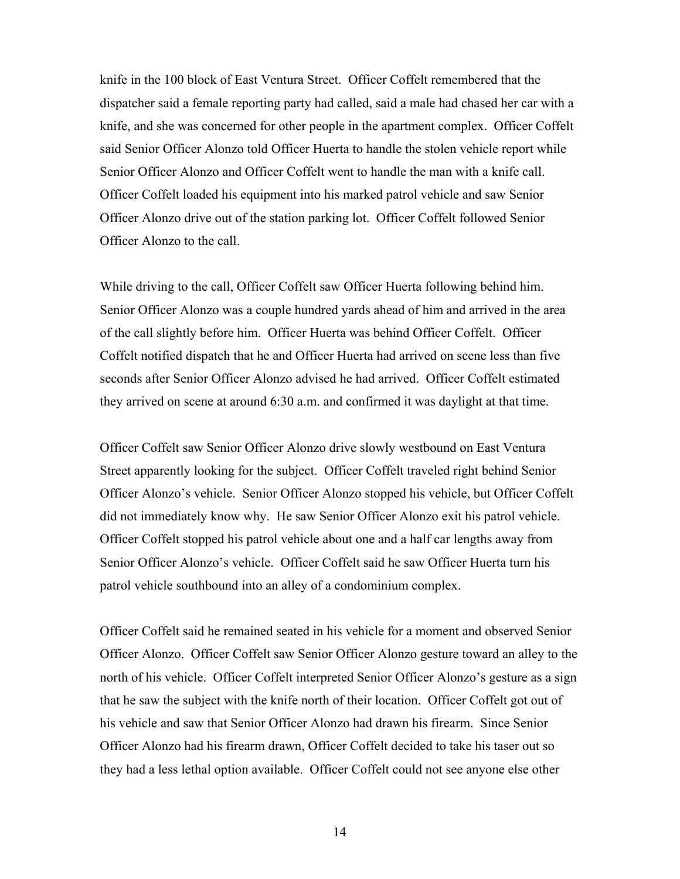knife in the 100 block of East Ventura Street. Officer Coffelt remembered that the dispatcher said a female reporting party had called, said a male had chased her car with a knife, and she was concerned for other people in the apartment complex. Officer Coffelt said Senior Officer Alonzo told Officer Huerta to handle the stolen vehicle report while Senior Officer Alonzo and Officer Coffelt went to handle the man with a knife call. Officer Coffelt loaded his equipment into his marked patrol vehicle and saw Senior Officer Alonzo drive out of the station parking lot. Officer Coffelt followed Senior Officer Alonzo to the call.

While driving to the call, Officer Coffelt saw Officer Huerta following behind him. Senior Officer Alonzo was a couple hundred yards ahead of him and arrived in the area of the call slightly before him. Officer Huerta was behind Officer Coffelt. Officer Coffelt notified dispatch that he and Officer Huerta had arrived on scene less than five seconds after Senior Officer Alonzo advised he had arrived. Officer Coffelt estimated they arrived on scene at around 6:30 a.m. and confirmed it was daylight at that time.

Officer Coffelt saw Senior Officer Alonzo drive slowly westbound on East Ventura Street apparently looking for the subject. Officer Coffelt traveled right behind Senior Officer Alonzo's vehicle. Senior Officer Alonzo stopped his vehicle, but Officer Coffelt did not immediately know why. He saw Senior Officer Alonzo exit his patrol vehicle. Officer Coffelt stopped his patrol vehicle about one and a half car lengths away from Senior Officer Alonzo's vehicle. Officer Coffelt said he saw Officer Huerta turn his patrol vehicle southbound into an alley of a condominium complex.

Officer Coffelt said he remained seated in his vehicle for a moment and observed Senior Officer Alonzo. Officer Coffelt saw Senior Officer Alonzo gesture toward an alley to the north of his vehicle. Officer Coffelt interpreted Senior Officer Alonzo's gesture as a sign that he saw the subject with the knife north of their location. Officer Coffelt got out of his vehicle and saw that Senior Officer Alonzo had drawn his firearm. Since Senior Officer Alonzo had his firearm drawn, Officer Coffelt decided to take his taser out so they had a less lethal option available. Officer Coffelt could not see anyone else other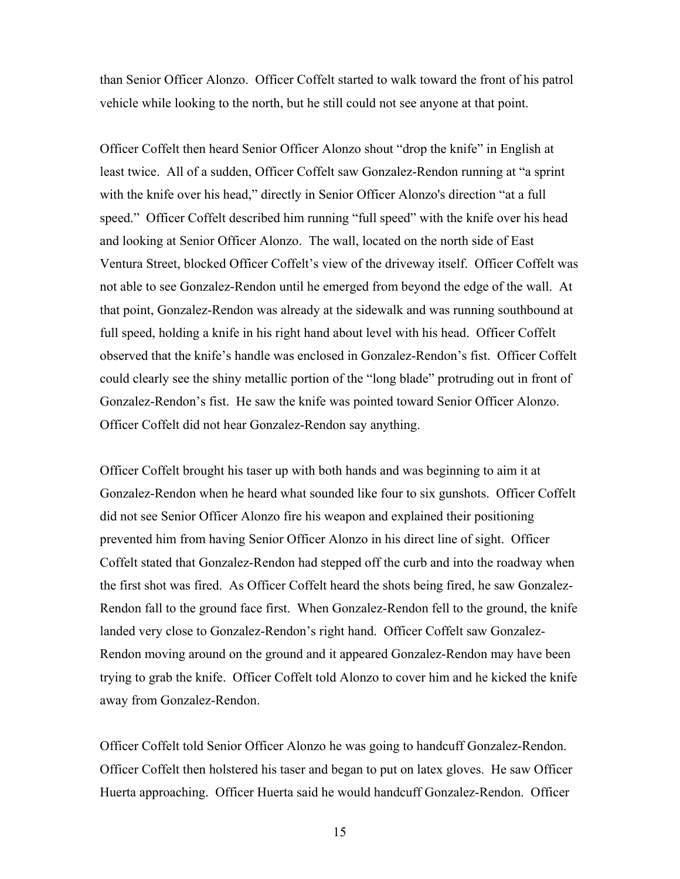than Senior Officer Alonzo. Officer Coffelt started to walk toward the front of his patrol vehicle while looking to the north, but he still could not see anyone at that point.

Officer Coffelt then heard Senior Officer Alonzo shout "drop the knife" in English at least twice. All of a sudden, Officer Coffelt saw Gonzalez-Rendon running at "a sprint with the knife over his head," directly in Senior Officer Alonzo's direction "at a full speed." Officer Coffelt described him running "full speed" with the knife over his head and looking at Senior Officer Alonzo. The wall, located on the north side of East Ventura Street, blocked Officer Coffelt's view of the driveway itself. Officer Coffelt was not able to see Gonzalez-Rendon until he emerged from beyond the edge of the wall. At that point, Gonzalez-Rendon was already at the sidewalk and was running southbound at full speed, holding a knife in his right hand about level with his head. Officer Coffelt observed that the knife's handle was enclosed in Gonzalez-Rendon's fist. Officer Coffelt could clearly see the shiny metallic portion of the "long blade" protruding out in front of Gonzalez-Rendon's fist. He saw the knife was pointed toward Senior Officer Alonzo. Officer Coffelt did not hear Gonzalez-Rendon say anything.

Officer Coffelt brought his taser up with both hands and was beginning to aim it at Gonzalez-Rendon when he heard what sounded like four to six gunshots. Officer Coffelt did not see Senior Officer Alonzo fire his weapon and explained their positioning prevented him from having Senior Officer Alonzo in his direct line of sight. Officer Coffelt stated that Gonzalez-Rendon had stepped off the curb and into the roadway when the first shot was fired. As Officer Coffelt heard the shots being fired, he saw Gonzalez-Rendon fall to the ground face first. When Gonzalez-Rendon fell to the ground, the knife landed very close to Gonzalez-Rendon's right hand. Officer Coffelt saw Gonzalez-Rendon moving around on the ground and it appeared Gonzalez-Rendon may have been trying to grab the knife. Officer Coffelt told Alonzo to cover him and he kicked the knife away from Gonzalez-Rendon.

Officer Coffelt told Senior Officer Alonzo he was going to handcuff Gonzalez-Rendon. Officer Coffelt then holstered his taser and began to put on latex gloves. He saw Officer Huerta approaching. Officer Huerta said he would handcuff Gonzalez-Rendon. Officer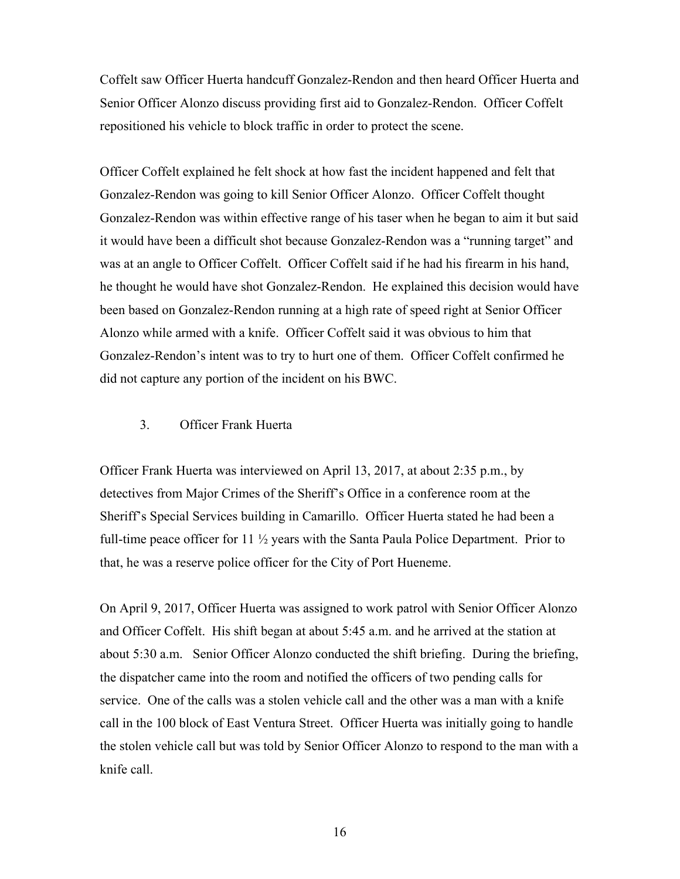Coffelt saw Officer Huerta handcuff Gonzalez-Rendon and then heard Officer Huerta and Senior Officer Alonzo discuss providing first aid to Gonzalez-Rendon. Officer Coffelt repositioned his vehicle to block traffic in order to protect the scene.

Officer Coffelt explained he felt shock at how fast the incident happened and felt that Gonzalez-Rendon was going to kill Senior Officer Alonzo. Officer Coffelt thought Gonzalez-Rendon was within effective range of his taser when he began to aim it but said it would have been a difficult shot because Gonzalez-Rendon was a "running target" and was at an angle to Officer Coffelt. Officer Coffelt said if he had his firearm in his hand, he thought he would have shot Gonzalez-Rendon. He explained this decision would have been based on Gonzalez-Rendon running at a high rate of speed right at Senior Officer Alonzo while armed with a knife. Officer Coffelt said it was obvious to him that Gonzalez-Rendon's intent was to try to hurt one of them. Officer Coffelt confirmed he did not capture any portion of the incident on his BWC.

### 3. Officer Frank Huerta

Officer Frank Huerta was interviewed on April 13, 2017, at about 2:35 p.m., by detectives from Major Crimes of the Sheriff's Office in a conference room at the Sheriff's Special Services building in Camarillo. Officer Huerta stated he had been a full-time peace officer for  $11 \frac{1}{2}$  years with the Santa Paula Police Department. Prior to that, he was a reserve police officer for the City of Port Hueneme.

On April 9, 2017, Officer Huerta was assigned to work patrol with Senior Officer Alonzo and Officer Coffelt. His shift began at about 5:45 a.m. and he arrived at the station at about 5:30 a.m. Senior Officer Alonzo conducted the shift briefing. During the briefing, the dispatcher came into the room and notified the officers of two pending calls for service. One of the calls was a stolen vehicle call and the other was a man with a knife call in the 100 block of East Ventura Street. Officer Huerta was initially going to handle the stolen vehicle call but was told by Senior Officer Alonzo to respond to the man with a knife call.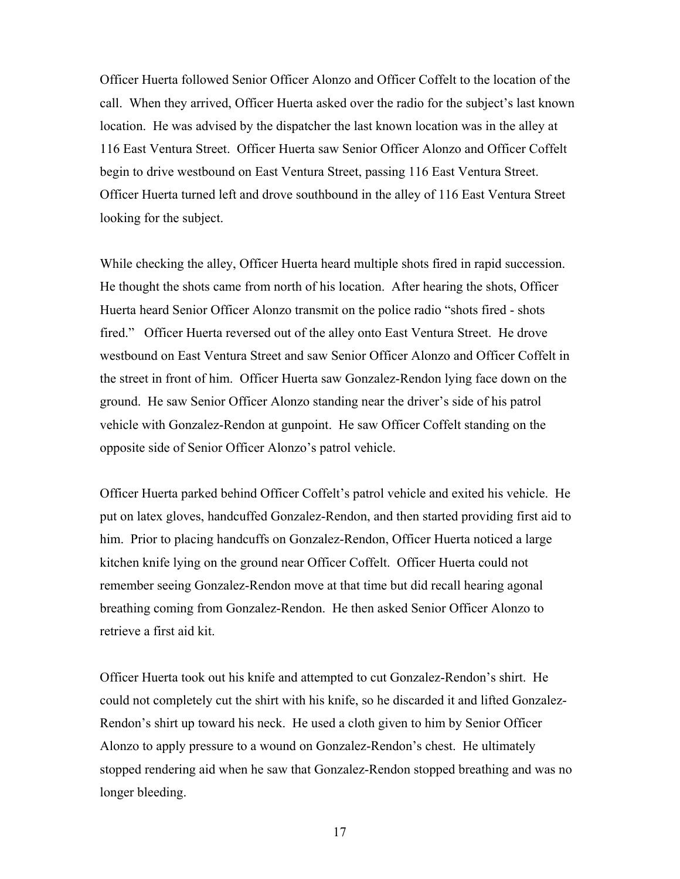Officer Huerta followed Senior Officer Alonzo and Officer Coffelt to the location of the call. When they arrived, Officer Huerta asked over the radio for the subject's last known location. He was advised by the dispatcher the last known location was in the alley at 116 East Ventura Street. Officer Huerta saw Senior Officer Alonzo and Officer Coffelt begin to drive westbound on East Ventura Street, passing 116 East Ventura Street. Officer Huerta turned left and drove southbound in the alley of 116 East Ventura Street looking for the subject.

While checking the alley, Officer Huerta heard multiple shots fired in rapid succession. He thought the shots came from north of his location. After hearing the shots, Officer Huerta heard Senior Officer Alonzo transmit on the police radio "shots fired - shots fired." Officer Huerta reversed out of the alley onto East Ventura Street. He drove westbound on East Ventura Street and saw Senior Officer Alonzo and Officer Coffelt in the street in front of him. Officer Huerta saw Gonzalez-Rendon lying face down on the ground. He saw Senior Officer Alonzo standing near the driver's side of his patrol vehicle with Gonzalez-Rendon at gunpoint. He saw Officer Coffelt standing on the opposite side of Senior Officer Alonzo's patrol vehicle.

Officer Huerta parked behind Officer Coffelt's patrol vehicle and exited his vehicle. He put on latex gloves, handcuffed Gonzalez-Rendon, and then started providing first aid to him. Prior to placing handcuffs on Gonzalez-Rendon, Officer Huerta noticed a large kitchen knife lying on the ground near Officer Coffelt. Officer Huerta could not remember seeing Gonzalez-Rendon move at that time but did recall hearing agonal breathing coming from Gonzalez-Rendon. He then asked Senior Officer Alonzo to retrieve a first aid kit.

Officer Huerta took out his knife and attempted to cut Gonzalez-Rendon's shirt. He could not completely cut the shirt with his knife, so he discarded it and lifted Gonzalez-Rendon's shirt up toward his neck. He used a cloth given to him by Senior Officer Alonzo to apply pressure to a wound on Gonzalez-Rendon's chest. He ultimately stopped rendering aid when he saw that Gonzalez-Rendon stopped breathing and was no longer bleeding.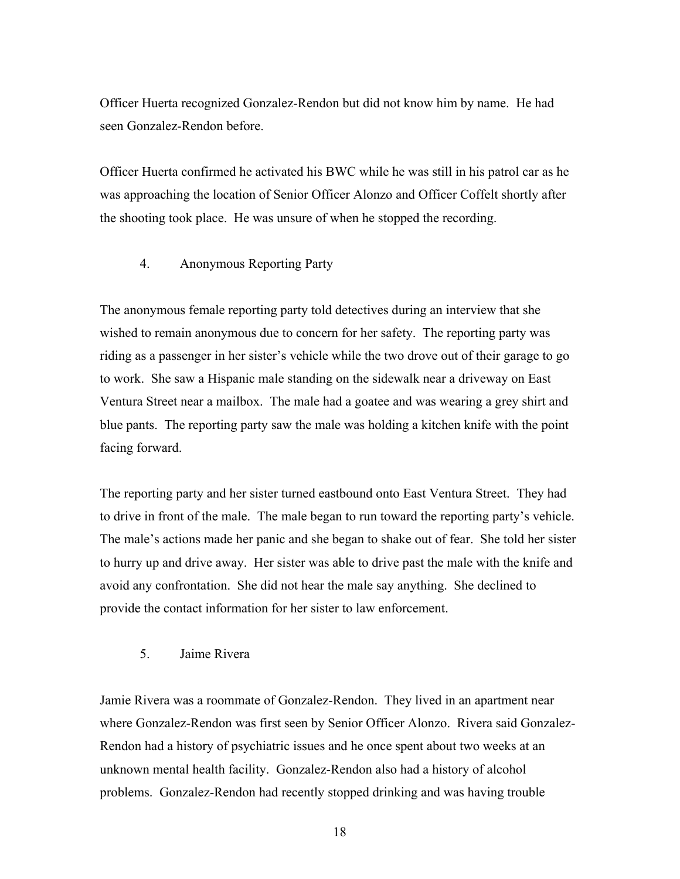Officer Huerta recognized Gonzalez-Rendon but did not know him by name. He had seen Gonzalez-Rendon before.

Officer Huerta confirmed he activated his BWC while he was still in his patrol car as he was approaching the location of Senior Officer Alonzo and Officer Coffelt shortly after the shooting took place. He was unsure of when he stopped the recording.

#### 4. Anonymous Reporting Party

The anonymous female reporting party told detectives during an interview that she wished to remain anonymous due to concern for her safety. The reporting party was riding as a passenger in her sister's vehicle while the two drove out of their garage to go to work. She saw a Hispanic male standing on the sidewalk near a driveway on East Ventura Street near a mailbox. The male had a goatee and was wearing a grey shirt and blue pants. The reporting party saw the male was holding a kitchen knife with the point facing forward.

The reporting party and her sister turned eastbound onto East Ventura Street. They had to drive in front of the male. The male began to run toward the reporting party's vehicle. The male's actions made her panic and she began to shake out of fear. She told her sister to hurry up and drive away. Her sister was able to drive past the male with the knife and avoid any confrontation. She did not hear the male say anything. She declined to provide the contact information for her sister to law enforcement.

### 5. Jaime Rivera

Jamie Rivera was a roommate of Gonzalez-Rendon. They lived in an apartment near where Gonzalez-Rendon was first seen by Senior Officer Alonzo. Rivera said Gonzalez-Rendon had a history of psychiatric issues and he once spent about two weeks at an unknown mental health facility. Gonzalez-Rendon also had a history of alcohol problems. Gonzalez-Rendon had recently stopped drinking and was having trouble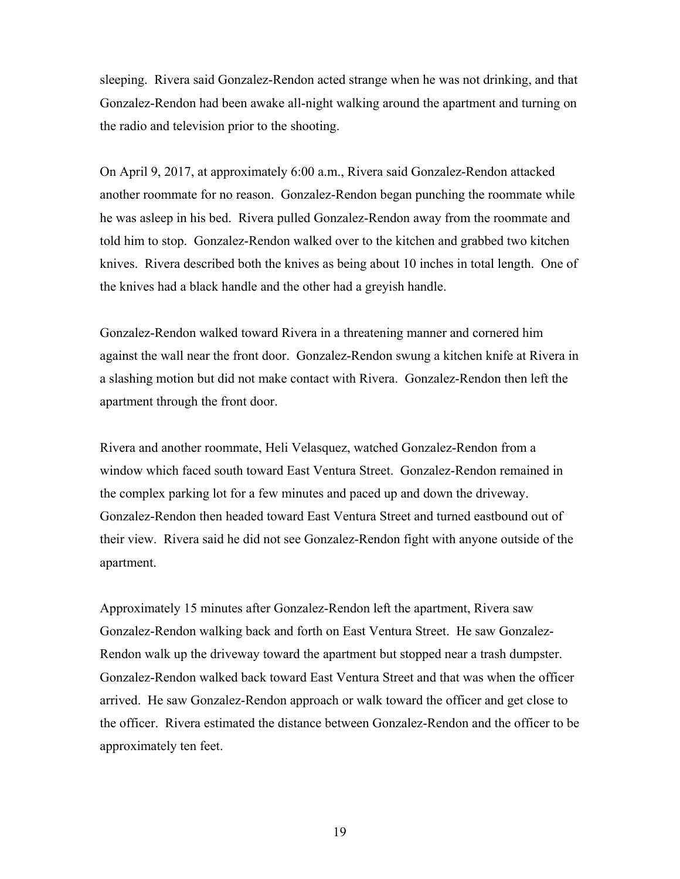sleeping. Rivera said Gonzalez-Rendon acted strange when he was not drinking, and that Gonzalez-Rendon had been awake all-night walking around the apartment and turning on the radio and television prior to the shooting.

On April 9, 2017, at approximately 6:00 a.m., Rivera said Gonzalez-Rendon attacked another roommate for no reason. Gonzalez-Rendon began punching the roommate while he was asleep in his bed. Rivera pulled Gonzalez-Rendon away from the roommate and told him to stop. Gonzalez-Rendon walked over to the kitchen and grabbed two kitchen knives. Rivera described both the knives as being about 10 inches in total length. One of the knives had a black handle and the other had a greyish handle.

Gonzalez-Rendon walked toward Rivera in a threatening manner and cornered him against the wall near the front door. Gonzalez-Rendon swung a kitchen knife at Rivera in a slashing motion but did not make contact with Rivera. Gonzalez-Rendon then left the apartment through the front door.

Rivera and another roommate, Heli Velasquez, watched Gonzalez-Rendon from a window which faced south toward East Ventura Street. Gonzalez-Rendon remained in the complex parking lot for a few minutes and paced up and down the driveway. Gonzalez-Rendon then headed toward East Ventura Street and turned eastbound out of their view. Rivera said he did not see Gonzalez-Rendon fight with anyone outside of the apartment.

Approximately 15 minutes after Gonzalez-Rendon left the apartment, Rivera saw Gonzalez-Rendon walking back and forth on East Ventura Street. He saw Gonzalez-Rendon walk up the driveway toward the apartment but stopped near a trash dumpster. Gonzalez-Rendon walked back toward East Ventura Street and that was when the officer arrived. He saw Gonzalez-Rendon approach or walk toward the officer and get close to the officer. Rivera estimated the distance between Gonzalez-Rendon and the officer to be approximately ten feet.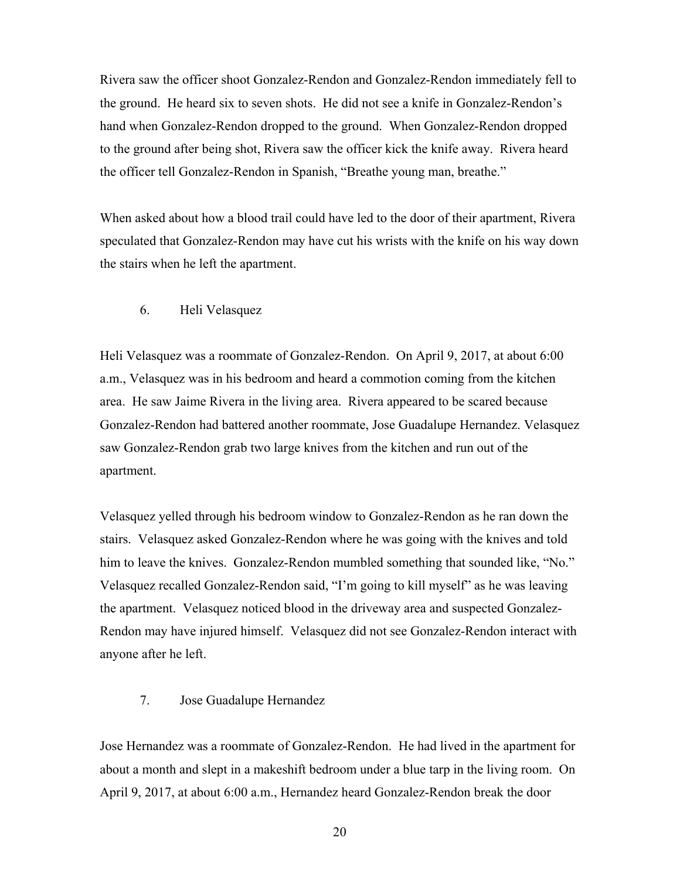Rivera saw the officer shoot Gonzalez-Rendon and Gonzalez-Rendon immediately fell to the ground. He heard six to seven shots. He did not see a knife in Gonzalez-Rendon's hand when Gonzalez-Rendon dropped to the ground. When Gonzalez-Rendon dropped to the ground after being shot, Rivera saw the officer kick the knife away. Rivera heard the officer tell Gonzalez-Rendon in Spanish, "Breathe young man, breathe."

When asked about how a blood trail could have led to the door of their apartment, Rivera speculated that Gonzalez-Rendon may have cut his wrists with the knife on his way down the stairs when he left the apartment.

#### 6. Heli Velasquez

Heli Velasquez was a roommate of Gonzalez-Rendon. On April 9, 2017, at about 6:00 a.m., Velasquez was in his bedroom and heard a commotion coming from the kitchen area. He saw Jaime Rivera in the living area. Rivera appeared to be scared because Gonzalez-Rendon had battered another roommate, Jose Guadalupe Hernandez. Velasquez saw Gonzalez-Rendon grab two large knives from the kitchen and run out of the apartment.

Velasquez yelled through his bedroom window to Gonzalez-Rendon as he ran down the stairs. Velasquez asked Gonzalez-Rendon where he was going with the knives and told him to leave the knives. Gonzalez-Rendon mumbled something that sounded like, "No." Velasquez recalled Gonzalez-Rendon said, "I'm going to kill myself" as he was leaving the apartment. Velasquez noticed blood in the driveway area and suspected Gonzalez-Rendon may have injured himself. Velasquez did not see Gonzalez-Rendon interact with anyone after he left.

#### 7. Jose Guadalupe Hernandez

Jose Hernandez was a roommate of Gonzalez-Rendon. He had lived in the apartment for about a month and slept in a makeshift bedroom under a blue tarp in the living room. On April 9, 2017, at about 6:00 a.m., Hernandez heard Gonzalez-Rendon break the door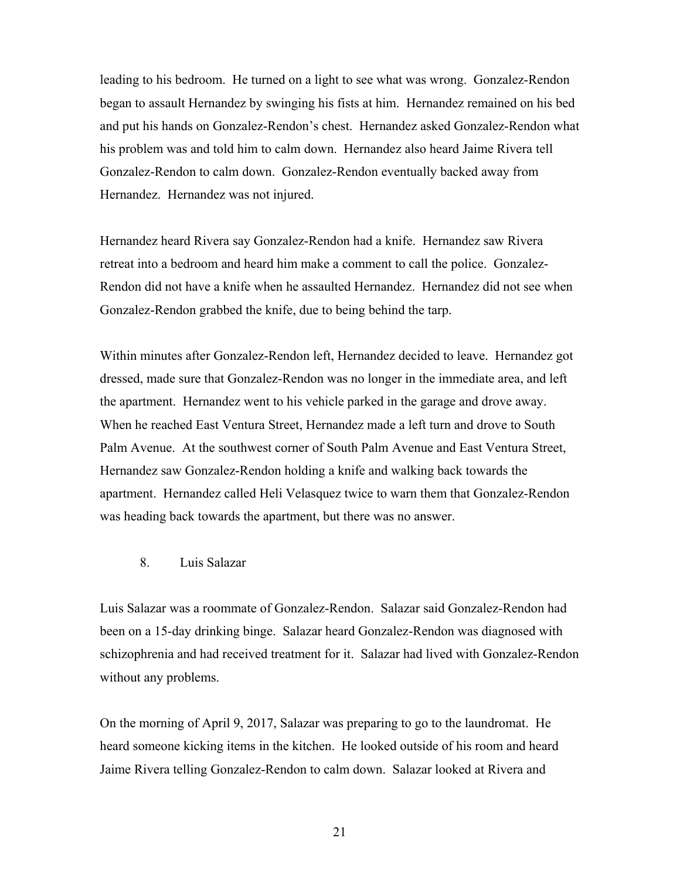leading to his bedroom. He turned on a light to see what was wrong. Gonzalez-Rendon began to assault Hernandez by swinging his fists at him. Hernandez remained on his bed and put his hands on Gonzalez-Rendon's chest. Hernandez asked Gonzalez-Rendon what his problem was and told him to calm down. Hernandez also heard Jaime Rivera tell Gonzalez-Rendon to calm down. Gonzalez-Rendon eventually backed away from Hernandez. Hernandez was not injured.

Hernandez heard Rivera say Gonzalez-Rendon had a knife. Hernandez saw Rivera retreat into a bedroom and heard him make a comment to call the police. Gonzalez-Rendon did not have a knife when he assaulted Hernandez. Hernandez did not see when Gonzalez-Rendon grabbed the knife, due to being behind the tarp.

Within minutes after Gonzalez-Rendon left, Hernandez decided to leave. Hernandez got dressed, made sure that Gonzalez-Rendon was no longer in the immediate area, and left the apartment. Hernandez went to his vehicle parked in the garage and drove away. When he reached East Ventura Street, Hernandez made a left turn and drove to South Palm Avenue. At the southwest corner of South Palm Avenue and East Ventura Street, Hernandez saw Gonzalez-Rendon holding a knife and walking back towards the apartment. Hernandez called Heli Velasquez twice to warn them that Gonzalez-Rendon was heading back towards the apartment, but there was no answer.

#### 8. Luis Salazar

Luis Salazar was a roommate of Gonzalez-Rendon. Salazar said Gonzalez-Rendon had been on a 15-day drinking binge. Salazar heard Gonzalez-Rendon was diagnosed with schizophrenia and had received treatment for it. Salazar had lived with Gonzalez-Rendon without any problems.

On the morning of April 9, 2017, Salazar was preparing to go to the laundromat. He heard someone kicking items in the kitchen. He looked outside of his room and heard Jaime Rivera telling Gonzalez-Rendon to calm down. Salazar looked at Rivera and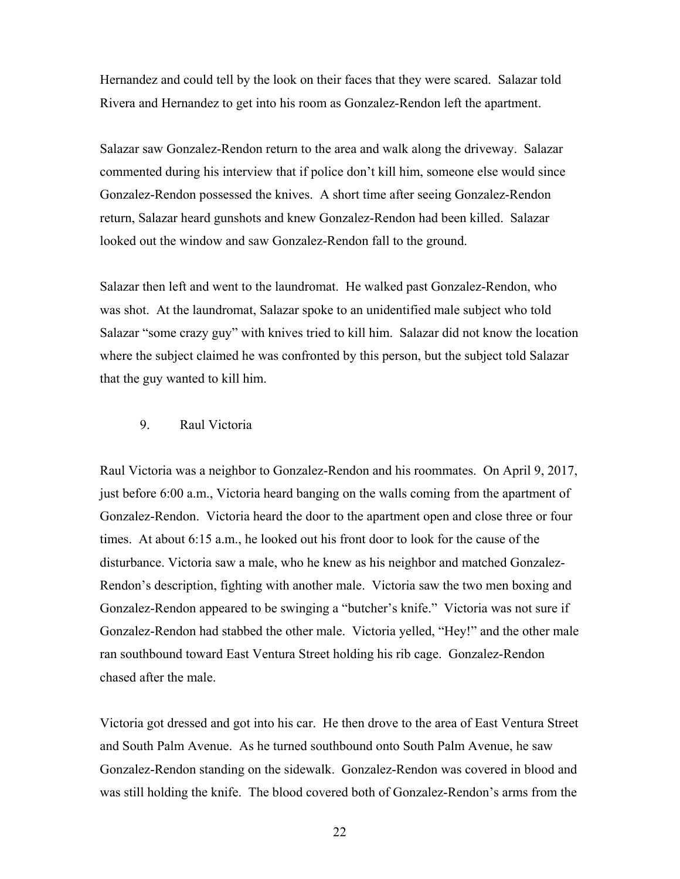Hernandez and could tell by the look on their faces that they were scared. Salazar told Rivera and Hernandez to get into his room as Gonzalez-Rendon left the apartment.

Salazar saw Gonzalez-Rendon return to the area and walk along the driveway. Salazar commented during his interview that if police don't kill him, someone else would since Gonzalez-Rendon possessed the knives. A short time after seeing Gonzalez-Rendon return, Salazar heard gunshots and knew Gonzalez-Rendon had been killed. Salazar looked out the window and saw Gonzalez-Rendon fall to the ground.

Salazar then left and went to the laundromat. He walked past Gonzalez-Rendon, who was shot. At the laundromat, Salazar spoke to an unidentified male subject who told Salazar "some crazy guy" with knives tried to kill him. Salazar did not know the location where the subject claimed he was confronted by this person, but the subject told Salazar that the guy wanted to kill him.

### 9. Raul Victoria

Raul Victoria was a neighbor to Gonzalez-Rendon and his roommates. On April 9, 2017, just before 6:00 a.m., Victoria heard banging on the walls coming from the apartment of Gonzalez-Rendon. Victoria heard the door to the apartment open and close three or four times. At about 6:15 a.m., he looked out his front door to look for the cause of the disturbance. Victoria saw a male, who he knew as his neighbor and matched Gonzalez-Rendon's description, fighting with another male. Victoria saw the two men boxing and Gonzalez-Rendon appeared to be swinging a "butcher's knife." Victoria was not sure if Gonzalez-Rendon had stabbed the other male. Victoria yelled, "Hey!" and the other male ran southbound toward East Ventura Street holding his rib cage. Gonzalez-Rendon chased after the male.

Victoria got dressed and got into his car. He then drove to the area of East Ventura Street and South Palm Avenue. As he turned southbound onto South Palm Avenue, he saw Gonzalez-Rendon standing on the sidewalk. Gonzalez-Rendon was covered in blood and was still holding the knife. The blood covered both of Gonzalez-Rendon's arms from the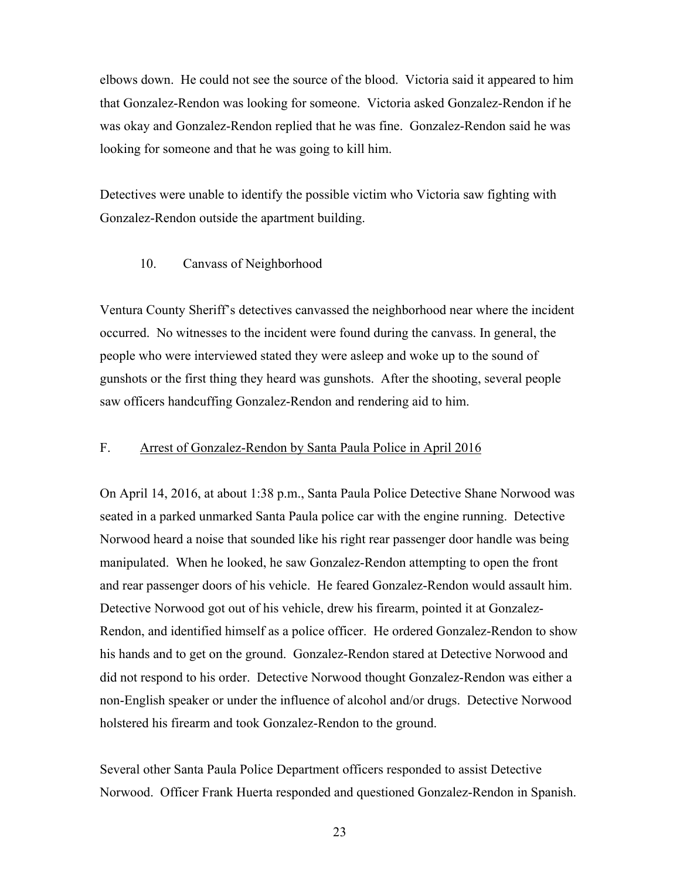elbows down. He could not see the source of the blood. Victoria said it appeared to him that Gonzalez-Rendon was looking for someone. Victoria asked Gonzalez-Rendon if he was okay and Gonzalez-Rendon replied that he was fine. Gonzalez-Rendon said he was looking for someone and that he was going to kill him.

Detectives were unable to identify the possible victim who Victoria saw fighting with Gonzalez-Rendon outside the apartment building.

#### 10. Canvass of Neighborhood

Ventura County Sheriff's detectives canvassed the neighborhood near where the incident occurred. No witnesses to the incident were found during the canvass. In general, the people who were interviewed stated they were asleep and woke up to the sound of gunshots or the first thing they heard was gunshots. After the shooting, several people saw officers handcuffing Gonzalez-Rendon and rendering aid to him.

### F. Arrest of Gonzalez-Rendon by Santa Paula Police in April 2016

On April 14, 2016, at about 1:38 p.m., Santa Paula Police Detective Shane Norwood was seated in a parked unmarked Santa Paula police car with the engine running. Detective Norwood heard a noise that sounded like his right rear passenger door handle was being manipulated. When he looked, he saw Gonzalez-Rendon attempting to open the front and rear passenger doors of his vehicle. He feared Gonzalez-Rendon would assault him. Detective Norwood got out of his vehicle, drew his firearm, pointed it at Gonzalez-Rendon, and identified himself as a police officer. He ordered Gonzalez-Rendon to show his hands and to get on the ground. Gonzalez-Rendon stared at Detective Norwood and did not respond to his order. Detective Norwood thought Gonzalez-Rendon was either a non-English speaker or under the influence of alcohol and/or drugs. Detective Norwood holstered his firearm and took Gonzalez-Rendon to the ground.

Several other Santa Paula Police Department officers responded to assist Detective Norwood. Officer Frank Huerta responded and questioned Gonzalez-Rendon in Spanish.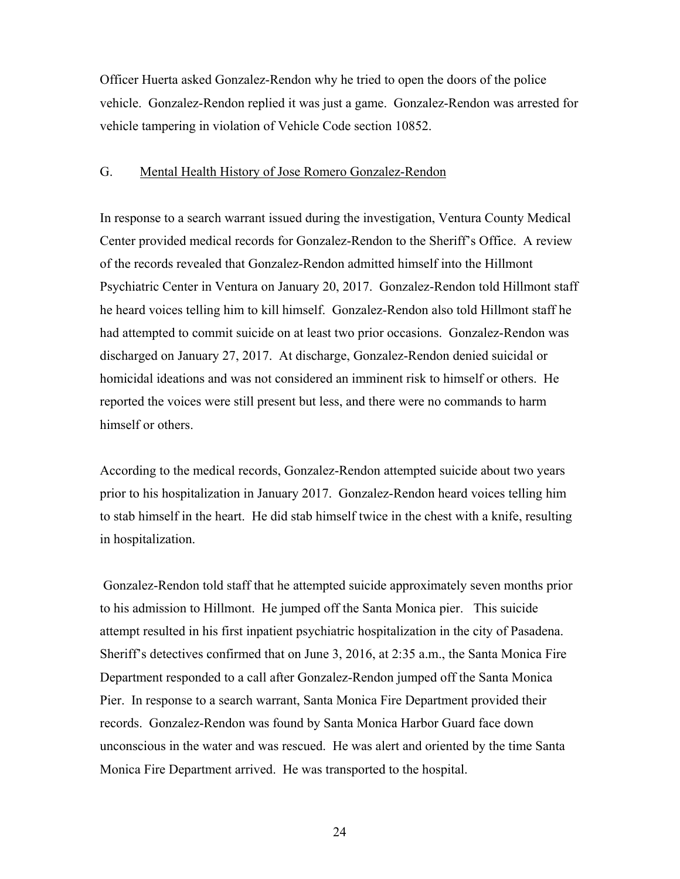Officer Huerta asked Gonzalez-Rendon why he tried to open the doors of the police vehicle. Gonzalez-Rendon replied it was just a game. Gonzalez-Rendon was arrested for vehicle tampering in violation of Vehicle Code section 10852.

### G. Mental Health History of Jose Romero Gonzalez-Rendon

In response to a search warrant issued during the investigation, Ventura County Medical Center provided medical records for Gonzalez-Rendon to the Sheriff's Office. A review of the records revealed that Gonzalez-Rendon admitted himself into the Hillmont Psychiatric Center in Ventura on January 20, 2017. Gonzalez-Rendon told Hillmont staff he heard voices telling him to kill himself. Gonzalez-Rendon also told Hillmont staff he had attempted to commit suicide on at least two prior occasions. Gonzalez-Rendon was discharged on January 27, 2017. At discharge, Gonzalez-Rendon denied suicidal or homicidal ideations and was not considered an imminent risk to himself or others. He reported the voices were still present but less, and there were no commands to harm himself or others.

According to the medical records, Gonzalez-Rendon attempted suicide about two years prior to his hospitalization in January 2017. Gonzalez-Rendon heard voices telling him to stab himself in the heart. He did stab himself twice in the chest with a knife, resulting in hospitalization.

 Gonzalez-Rendon told staff that he attempted suicide approximately seven months prior to his admission to Hillmont. He jumped off the Santa Monica pier. This suicide attempt resulted in his first inpatient psychiatric hospitalization in the city of Pasadena. Sheriff's detectives confirmed that on June 3, 2016, at 2:35 a.m., the Santa Monica Fire Department responded to a call after Gonzalez-Rendon jumped off the Santa Monica Pier. In response to a search warrant, Santa Monica Fire Department provided their records. Gonzalez-Rendon was found by Santa Monica Harbor Guard face down unconscious in the water and was rescued. He was alert and oriented by the time Santa Monica Fire Department arrived. He was transported to the hospital.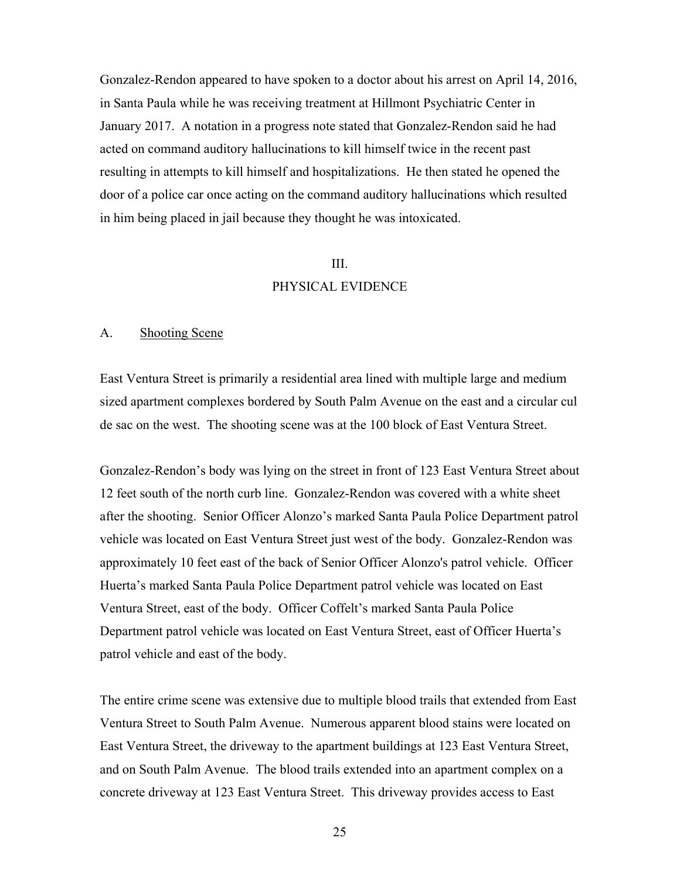Gonzalez-Rendon appeared to have spoken to a doctor about his arrest on April 14, 2016, in Santa Paula while he was receiving treatment at Hillmont Psychiatric Center in January 2017. A notation in a progress note stated that Gonzalez-Rendon said he had acted on command auditory hallucinations to kill himself twice in the recent past resulting in attempts to kill himself and hospitalizations. He then stated he opened the door of a police car once acting on the command auditory hallucinations which resulted in him being placed in jail because they thought he was intoxicated.

#### III.

### PHYSICAL EVIDENCE

#### A. Shooting Scene

East Ventura Street is primarily a residential area lined with multiple large and medium sized apartment complexes bordered by South Palm Avenue on the east and a circular cul de sac on the west. The shooting scene was at the 100 block of East Ventura Street.

Gonzalez-Rendon's body was lying on the street in front of 123 East Ventura Street about 12 feet south of the north curb line. Gonzalez-Rendon was covered with a white sheet after the shooting. Senior Officer Alonzo's marked Santa Paula Police Department patrol vehicle was located on East Ventura Street just west of the body. Gonzalez-Rendon was approximately 10 feet east of the back of Senior Officer Alonzo's patrol vehicle. Officer Huerta's marked Santa Paula Police Department patrol vehicle was located on East Ventura Street, east of the body. Officer Coffelt's marked Santa Paula Police Department patrol vehicle was located on East Ventura Street, east of Officer Huerta's patrol vehicle and east of the body.

The entire crime scene was extensive due to multiple blood trails that extended from East Ventura Street to South Palm Avenue. Numerous apparent blood stains were located on East Ventura Street, the driveway to the apartment buildings at 123 East Ventura Street, and on South Palm Avenue. The blood trails extended into an apartment complex on a concrete driveway at 123 East Ventura Street. This driveway provides access to East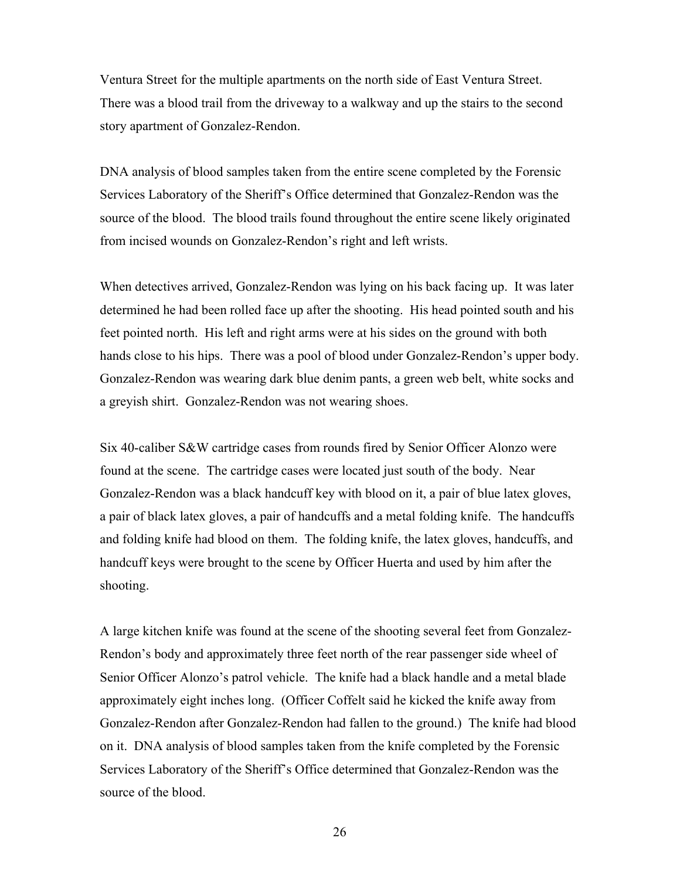Ventura Street for the multiple apartments on the north side of East Ventura Street. There was a blood trail from the driveway to a walkway and up the stairs to the second story apartment of Gonzalez-Rendon.

DNA analysis of blood samples taken from the entire scene completed by the Forensic Services Laboratory of the Sheriff's Office determined that Gonzalez-Rendon was the source of the blood. The blood trails found throughout the entire scene likely originated from incised wounds on Gonzalez-Rendon's right and left wrists.

When detectives arrived, Gonzalez-Rendon was lying on his back facing up. It was later determined he had been rolled face up after the shooting. His head pointed south and his feet pointed north. His left and right arms were at his sides on the ground with both hands close to his hips. There was a pool of blood under Gonzalez-Rendon's upper body. Gonzalez-Rendon was wearing dark blue denim pants, a green web belt, white socks and a greyish shirt. Gonzalez-Rendon was not wearing shoes.

Six 40-caliber S&W cartridge cases from rounds fired by Senior Officer Alonzo were found at the scene. The cartridge cases were located just south of the body. Near Gonzalez-Rendon was a black handcuff key with blood on it, a pair of blue latex gloves, a pair of black latex gloves, a pair of handcuffs and a metal folding knife. The handcuffs and folding knife had blood on them. The folding knife, the latex gloves, handcuffs, and handcuff keys were brought to the scene by Officer Huerta and used by him after the shooting.

A large kitchen knife was found at the scene of the shooting several feet from Gonzalez-Rendon's body and approximately three feet north of the rear passenger side wheel of Senior Officer Alonzo's patrol vehicle. The knife had a black handle and a metal blade approximately eight inches long. (Officer Coffelt said he kicked the knife away from Gonzalez-Rendon after Gonzalez-Rendon had fallen to the ground.) The knife had blood on it. DNA analysis of blood samples taken from the knife completed by the Forensic Services Laboratory of the Sheriff's Office determined that Gonzalez-Rendon was the source of the blood.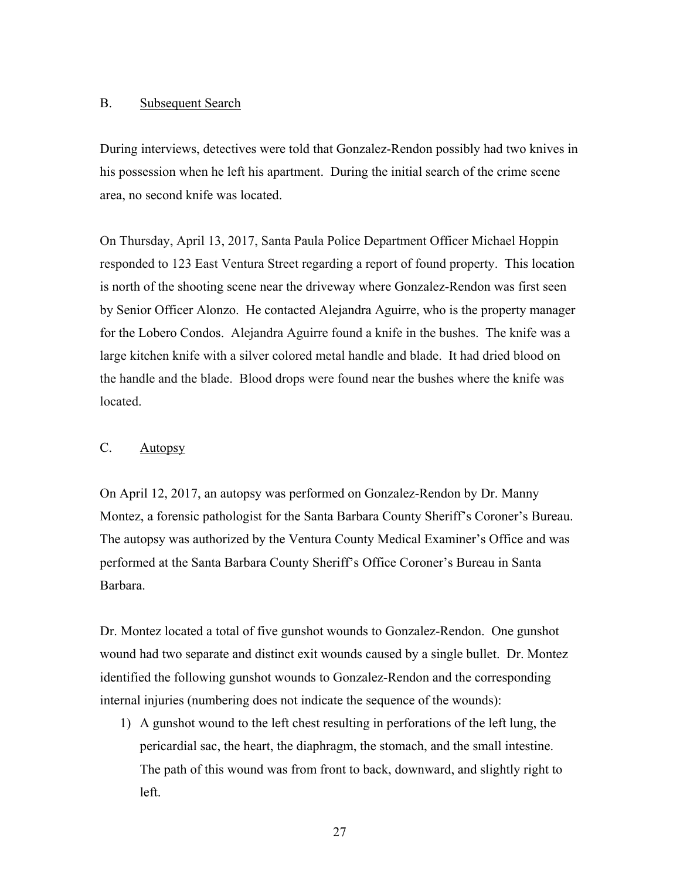#### B. Subsequent Search

During interviews, detectives were told that Gonzalez-Rendon possibly had two knives in his possession when he left his apartment. During the initial search of the crime scene area, no second knife was located.

On Thursday, April 13, 2017, Santa Paula Police Department Officer Michael Hoppin responded to 123 East Ventura Street regarding a report of found property. This location is north of the shooting scene near the driveway where Gonzalez-Rendon was first seen by Senior Officer Alonzo. He contacted Alejandra Aguirre, who is the property manager for the Lobero Condos. Alejandra Aguirre found a knife in the bushes. The knife was a large kitchen knife with a silver colored metal handle and blade. It had dried blood on the handle and the blade. Blood drops were found near the bushes where the knife was located.

### C. Autopsy

On April 12, 2017, an autopsy was performed on Gonzalez-Rendon by Dr. Manny Montez, a forensic pathologist for the Santa Barbara County Sheriff's Coroner's Bureau. The autopsy was authorized by the Ventura County Medical Examiner's Office and was performed at the Santa Barbara County Sheriff's Office Coroner's Bureau in Santa Barbara.

Dr. Montez located a total of five gunshot wounds to Gonzalez-Rendon. One gunshot wound had two separate and distinct exit wounds caused by a single bullet. Dr. Montez identified the following gunshot wounds to Gonzalez-Rendon and the corresponding internal injuries (numbering does not indicate the sequence of the wounds):

1) A gunshot wound to the left chest resulting in perforations of the left lung, the pericardial sac, the heart, the diaphragm, the stomach, and the small intestine. The path of this wound was from front to back, downward, and slightly right to left.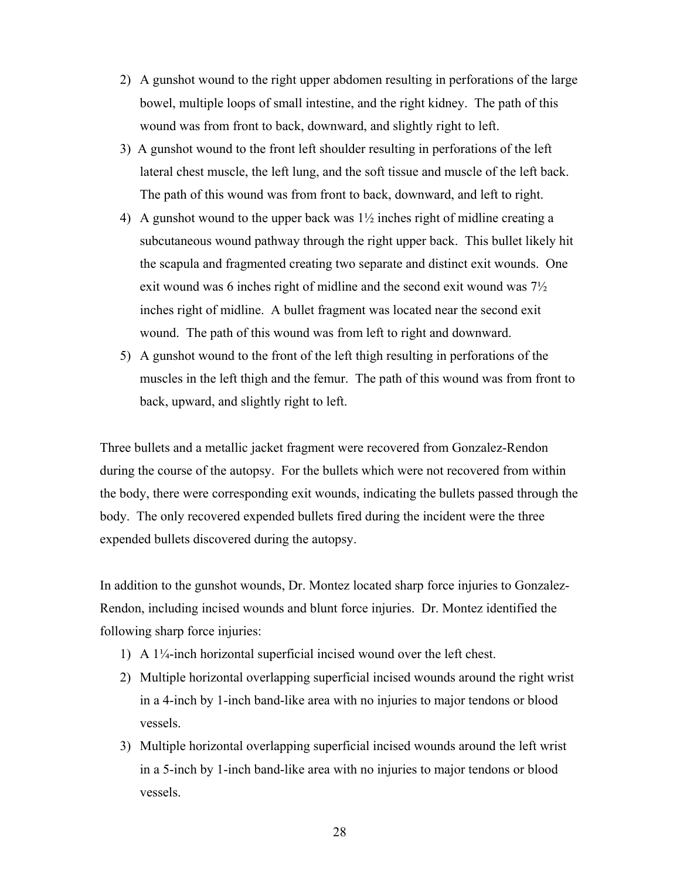- 2) A gunshot wound to the right upper abdomen resulting in perforations of the large bowel, multiple loops of small intestine, and the right kidney. The path of this wound was from front to back, downward, and slightly right to left.
- 3) A gunshot wound to the front left shoulder resulting in perforations of the left lateral chest muscle, the left lung, and the soft tissue and muscle of the left back. The path of this wound was from front to back, downward, and left to right.
- 4) A gunshot wound to the upper back was 1½ inches right of midline creating a subcutaneous wound pathway through the right upper back. This bullet likely hit the scapula and fragmented creating two separate and distinct exit wounds. One exit wound was 6 inches right of midline and the second exit wound was 7½ inches right of midline. A bullet fragment was located near the second exit wound. The path of this wound was from left to right and downward.
- 5) A gunshot wound to the front of the left thigh resulting in perforations of the muscles in the left thigh and the femur. The path of this wound was from front to back, upward, and slightly right to left.

Three bullets and a metallic jacket fragment were recovered from Gonzalez-Rendon during the course of the autopsy. For the bullets which were not recovered from within the body, there were corresponding exit wounds, indicating the bullets passed through the body. The only recovered expended bullets fired during the incident were the three expended bullets discovered during the autopsy.

In addition to the gunshot wounds, Dr. Montez located sharp force injuries to Gonzalez-Rendon, including incised wounds and blunt force injuries. Dr. Montez identified the following sharp force injuries:

- 1) A 1¼-inch horizontal superficial incised wound over the left chest.
- 2) Multiple horizontal overlapping superficial incised wounds around the right wrist in a 4-inch by 1-inch band-like area with no injuries to major tendons or blood vessels.
- 3) Multiple horizontal overlapping superficial incised wounds around the left wrist in a 5-inch by 1-inch band-like area with no injuries to major tendons or blood vessels.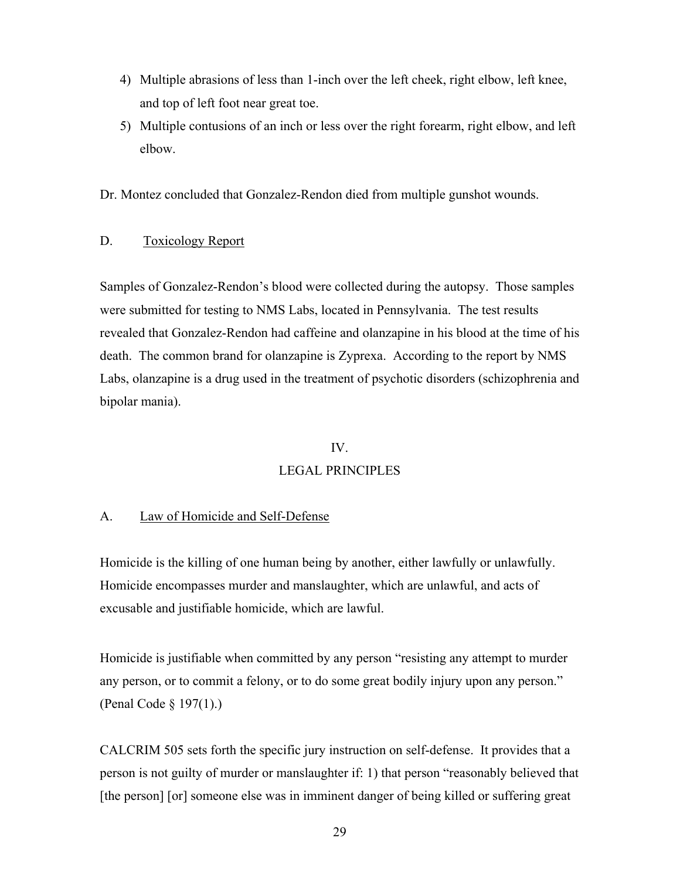- 4) Multiple abrasions of less than 1-inch over the left cheek, right elbow, left knee, and top of left foot near great toe.
- 5) Multiple contusions of an inch or less over the right forearm, right elbow, and left elbow.

Dr. Montez concluded that Gonzalez-Rendon died from multiple gunshot wounds.

### D. Toxicology Report

Samples of Gonzalez-Rendon's blood were collected during the autopsy. Those samples were submitted for testing to NMS Labs, located in Pennsylvania. The test results revealed that Gonzalez-Rendon had caffeine and olanzapine in his blood at the time of his death. The common brand for olanzapine is Zyprexa. According to the report by NMS Labs, olanzapine is a drug used in the treatment of psychotic disorders (schizophrenia and bipolar mania).

### IV.

## LEGAL PRINCIPLES

#### A. Law of Homicide and Self-Defense

Homicide is the killing of one human being by another, either lawfully or unlawfully. Homicide encompasses murder and manslaughter, which are unlawful, and acts of excusable and justifiable homicide, which are lawful.

Homicide is justifiable when committed by any person "resisting any attempt to murder any person, or to commit a felony, or to do some great bodily injury upon any person." (Penal Code § 197(1).)

CALCRIM 505 sets forth the specific jury instruction on self-defense. It provides that a person is not guilty of murder or manslaughter if: 1) that person "reasonably believed that [the person] [or] someone else was in imminent danger of being killed or suffering great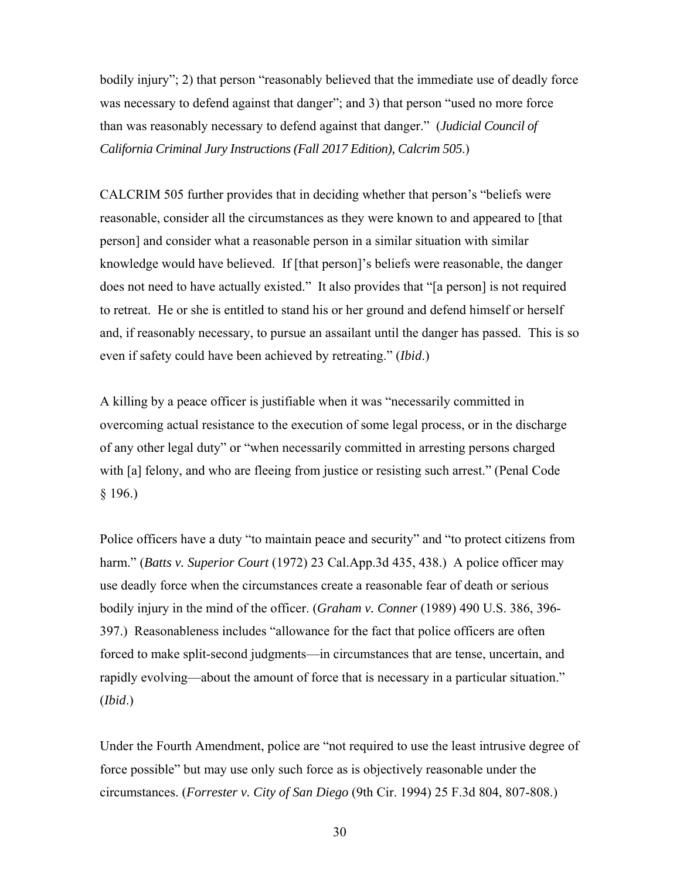bodily injury"; 2) that person "reasonably believed that the immediate use of deadly force was necessary to defend against that danger"; and 3) that person "used no more force than was reasonably necessary to defend against that danger." (*Judicial Council of California Criminal Jury Instructions (Fall 2017 Edition), Calcrim 505*.)

CALCRIM 505 further provides that in deciding whether that person's "beliefs were reasonable, consider all the circumstances as they were known to and appeared to [that person] and consider what a reasonable person in a similar situation with similar knowledge would have believed. If [that person]'s beliefs were reasonable, the danger does not need to have actually existed." It also provides that "[a person] is not required to retreat. He or she is entitled to stand his or her ground and defend himself or herself and, if reasonably necessary, to pursue an assailant until the danger has passed. This is so even if safety could have been achieved by retreating." (*Ibid*.)

A killing by a peace officer is justifiable when it was "necessarily committed in overcoming actual resistance to the execution of some legal process, or in the discharge of any other legal duty" or "when necessarily committed in arresting persons charged with [a] felony, and who are fleeing from justice or resisting such arrest." (Penal Code § 196.)

Police officers have a duty "to maintain peace and security" and "to protect citizens from harm." (*Batts v. Superior Court* (1972) 23 Cal.App.3d 435, 438.) A police officer may use deadly force when the circumstances create a reasonable fear of death or serious bodily injury in the mind of the officer. (*Graham v. Conner* (1989) 490 U.S. 386, 396- 397.) Reasonableness includes "allowance for the fact that police officers are often forced to make split-second judgments—in circumstances that are tense, uncertain, and rapidly evolving—about the amount of force that is necessary in a particular situation." (*Ibid*.)

Under the Fourth Amendment, police are "not required to use the least intrusive degree of force possible" but may use only such force as is objectively reasonable under the circumstances. (*Forrester v. City of San Diego* (9th Cir. 1994) 25 F.3d 804, 807-808.)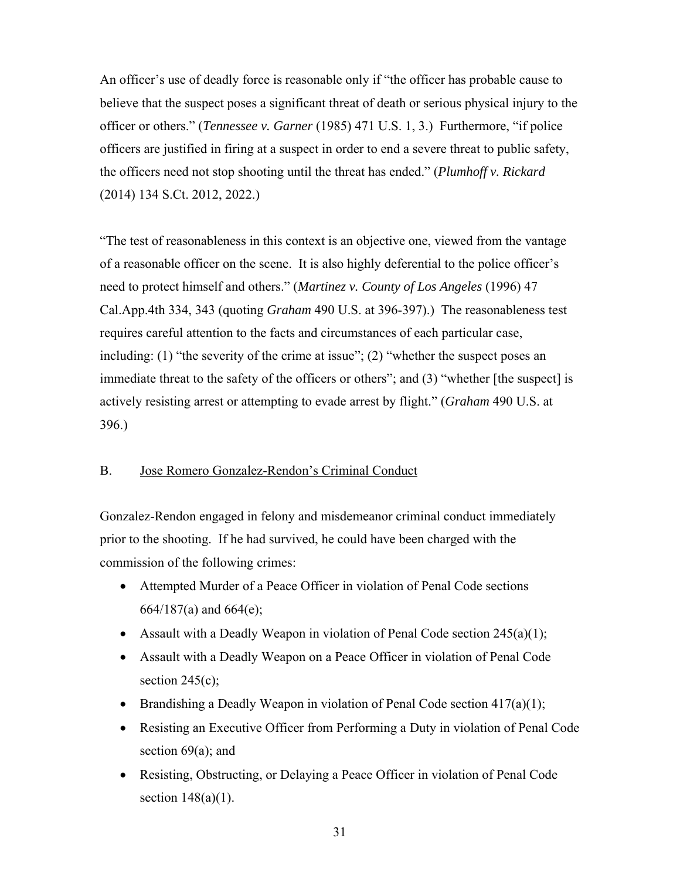An officer's use of deadly force is reasonable only if "the officer has probable cause to believe that the suspect poses a significant threat of death or serious physical injury to the officer or others." (*Tennessee v. Garner* (1985) 471 U.S. 1, 3.) Furthermore, "if police officers are justified in firing at a suspect in order to end a severe threat to public safety, the officers need not stop shooting until the threat has ended." (*Plumhoff v. Rickard* (2014) 134 S.Ct. 2012, 2022.)

"The test of reasonableness in this context is an objective one, viewed from the vantage of a reasonable officer on the scene. It is also highly deferential to the police officer's need to protect himself and others." (*Martinez v. County of Los Angeles* (1996) 47 Cal.App.4th 334, 343 (quoting *Graham* 490 U.S. at 396-397).) The reasonableness test requires careful attention to the facts and circumstances of each particular case, including: (1) "the severity of the crime at issue"; (2) "whether the suspect poses an immediate threat to the safety of the officers or others"; and (3) "whether [the suspect] is actively resisting arrest or attempting to evade arrest by flight." (*Graham* 490 U.S. at 396.)

### B. Jose Romero Gonzalez-Rendon's Criminal Conduct

Gonzalez-Rendon engaged in felony and misdemeanor criminal conduct immediately prior to the shooting. If he had survived, he could have been charged with the commission of the following crimes:

- Attempted Murder of a Peace Officer in violation of Penal Code sections 664/187(a) and 664(e);
- Assault with a Deadly Weapon in violation of Penal Code section  $245(a)(1)$ ;
- Assault with a Deadly Weapon on a Peace Officer in violation of Penal Code section  $245(c)$ ;
- **•** Brandishing a Deadly Weapon in violation of Penal Code section  $417(a)(1)$ ;
- Resisting an Executive Officer from Performing a Duty in violation of Penal Code section 69(a); and
- Resisting, Obstructing, or Delaying a Peace Officer in violation of Penal Code section  $148(a)(1)$ .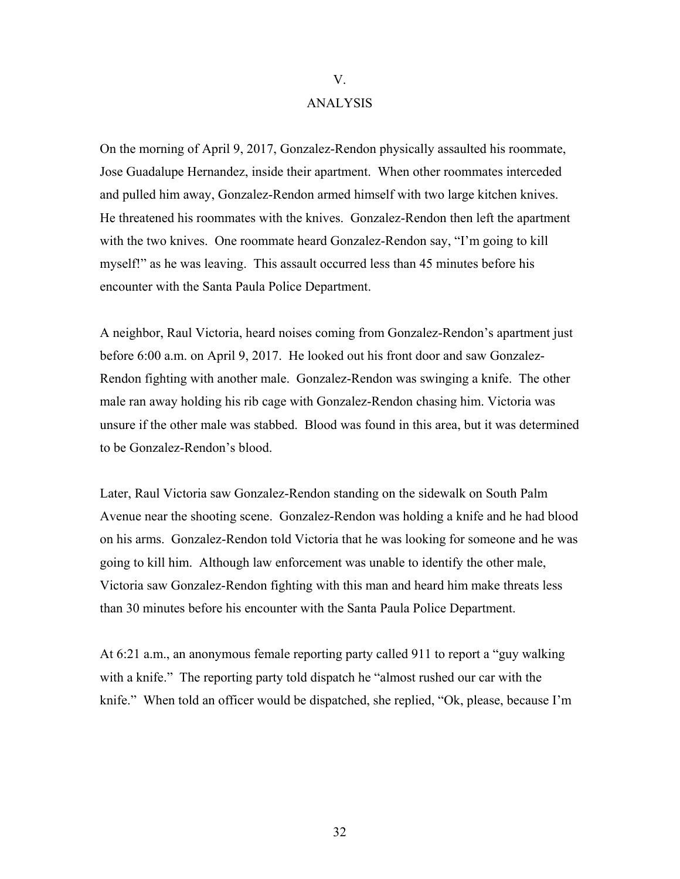# ANALYSIS

V.

On the morning of April 9, 2017, Gonzalez-Rendon physically assaulted his roommate, Jose Guadalupe Hernandez, inside their apartment. When other roommates interceded and pulled him away, Gonzalez-Rendon armed himself with two large kitchen knives. He threatened his roommates with the knives. Gonzalez-Rendon then left the apartment with the two knives. One roommate heard Gonzalez-Rendon say, "I'm going to kill myself!" as he was leaving. This assault occurred less than 45 minutes before his encounter with the Santa Paula Police Department.

A neighbor, Raul Victoria, heard noises coming from Gonzalez-Rendon's apartment just before 6:00 a.m. on April 9, 2017. He looked out his front door and saw Gonzalez-Rendon fighting with another male. Gonzalez-Rendon was swinging a knife. The other male ran away holding his rib cage with Gonzalez-Rendon chasing him. Victoria was unsure if the other male was stabbed. Blood was found in this area, but it was determined to be Gonzalez-Rendon's blood.

Later, Raul Victoria saw Gonzalez-Rendon standing on the sidewalk on South Palm Avenue near the shooting scene. Gonzalez-Rendon was holding a knife and he had blood on his arms. Gonzalez-Rendon told Victoria that he was looking for someone and he was going to kill him. Although law enforcement was unable to identify the other male, Victoria saw Gonzalez-Rendon fighting with this man and heard him make threats less than 30 minutes before his encounter with the Santa Paula Police Department.

At 6:21 a.m., an anonymous female reporting party called 911 to report a "guy walking with a knife." The reporting party told dispatch he "almost rushed our car with the knife." When told an officer would be dispatched, she replied, "Ok, please, because I'm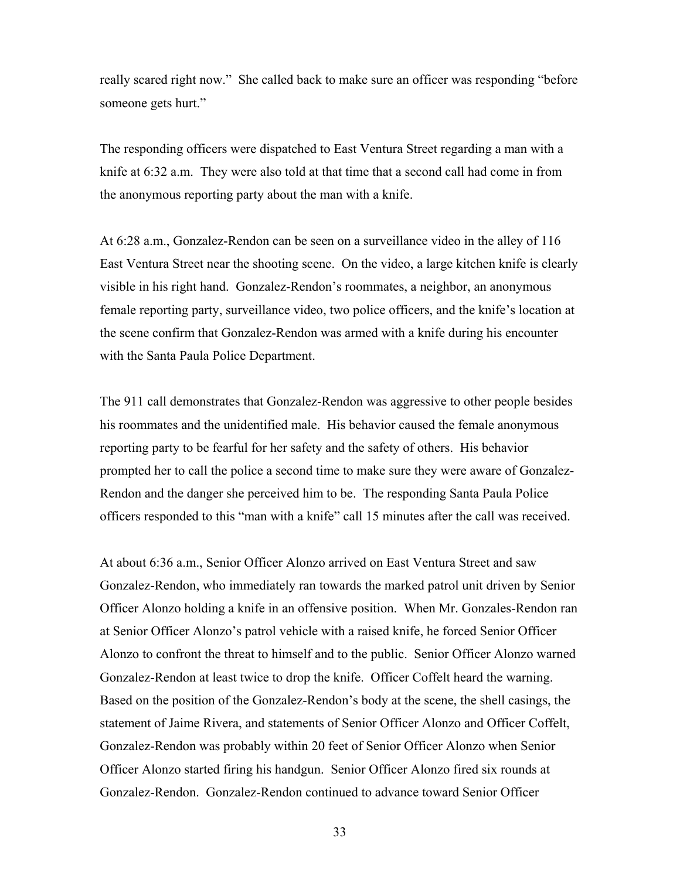really scared right now." She called back to make sure an officer was responding "before someone gets hurt."

The responding officers were dispatched to East Ventura Street regarding a man with a knife at 6:32 a.m. They were also told at that time that a second call had come in from the anonymous reporting party about the man with a knife.

At 6:28 a.m., Gonzalez-Rendon can be seen on a surveillance video in the alley of 116 East Ventura Street near the shooting scene. On the video, a large kitchen knife is clearly visible in his right hand. Gonzalez-Rendon's roommates, a neighbor, an anonymous female reporting party, surveillance video, two police officers, and the knife's location at the scene confirm that Gonzalez-Rendon was armed with a knife during his encounter with the Santa Paula Police Department.

The 911 call demonstrates that Gonzalez-Rendon was aggressive to other people besides his roommates and the unidentified male. His behavior caused the female anonymous reporting party to be fearful for her safety and the safety of others. His behavior prompted her to call the police a second time to make sure they were aware of Gonzalez-Rendon and the danger she perceived him to be. The responding Santa Paula Police officers responded to this "man with a knife" call 15 minutes after the call was received.

At about 6:36 a.m., Senior Officer Alonzo arrived on East Ventura Street and saw Gonzalez-Rendon, who immediately ran towards the marked patrol unit driven by Senior Officer Alonzo holding a knife in an offensive position. When Mr. Gonzales-Rendon ran at Senior Officer Alonzo's patrol vehicle with a raised knife, he forced Senior Officer Alonzo to confront the threat to himself and to the public. Senior Officer Alonzo warned Gonzalez-Rendon at least twice to drop the knife. Officer Coffelt heard the warning. Based on the position of the Gonzalez-Rendon's body at the scene, the shell casings, the statement of Jaime Rivera, and statements of Senior Officer Alonzo and Officer Coffelt, Gonzalez-Rendon was probably within 20 feet of Senior Officer Alonzo when Senior Officer Alonzo started firing his handgun. Senior Officer Alonzo fired six rounds at Gonzalez-Rendon. Gonzalez-Rendon continued to advance toward Senior Officer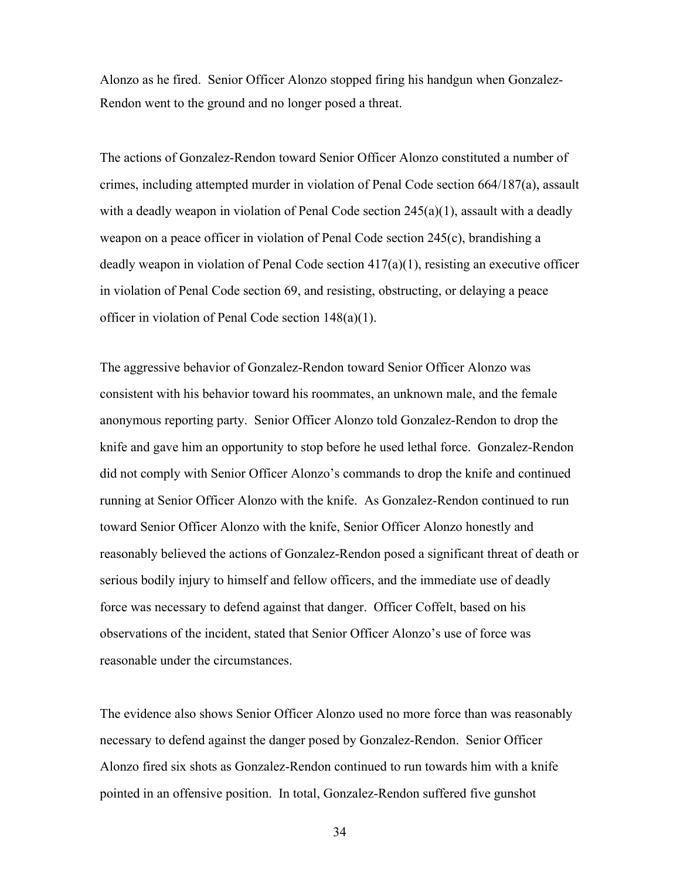Alonzo as he fired. Senior Officer Alonzo stopped firing his handgun when Gonzalez-Rendon went to the ground and no longer posed a threat.

The actions of Gonzalez-Rendon toward Senior Officer Alonzo constituted a number of crimes, including attempted murder in violation of Penal Code section 664/187(a), assault with a deadly weapon in violation of Penal Code section  $245(a)(1)$ , assault with a deadly weapon on a peace officer in violation of Penal Code section 245(c), brandishing a deadly weapon in violation of Penal Code section 417(a)(1), resisting an executive officer in violation of Penal Code section 69, and resisting, obstructing, or delaying a peace officer in violation of Penal Code section 148(a)(1).

The aggressive behavior of Gonzalez-Rendon toward Senior Officer Alonzo was consistent with his behavior toward his roommates, an unknown male, and the female anonymous reporting party. Senior Officer Alonzo told Gonzalez-Rendon to drop the knife and gave him an opportunity to stop before he used lethal force. Gonzalez-Rendon did not comply with Senior Officer Alonzo's commands to drop the knife and continued running at Senior Officer Alonzo with the knife. As Gonzalez-Rendon continued to run toward Senior Officer Alonzo with the knife, Senior Officer Alonzo honestly and reasonably believed the actions of Gonzalez-Rendon posed a significant threat of death or serious bodily injury to himself and fellow officers, and the immediate use of deadly force was necessary to defend against that danger. Officer Coffelt, based on his observations of the incident, stated that Senior Officer Alonzo's use of force was reasonable under the circumstances.

The evidence also shows Senior Officer Alonzo used no more force than was reasonably necessary to defend against the danger posed by Gonzalez-Rendon. Senior Officer Alonzo fired six shots as Gonzalez-Rendon continued to run towards him with a knife pointed in an offensive position. In total, Gonzalez-Rendon suffered five gunshot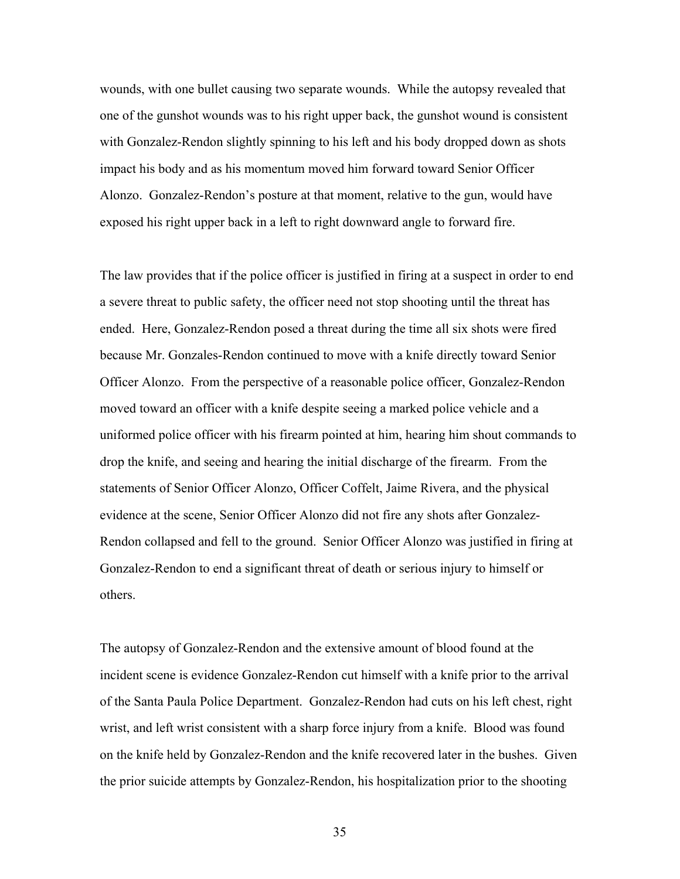wounds, with one bullet causing two separate wounds. While the autopsy revealed that one of the gunshot wounds was to his right upper back, the gunshot wound is consistent with Gonzalez-Rendon slightly spinning to his left and his body dropped down as shots impact his body and as his momentum moved him forward toward Senior Officer Alonzo. Gonzalez-Rendon's posture at that moment, relative to the gun, would have exposed his right upper back in a left to right downward angle to forward fire.

The law provides that if the police officer is justified in firing at a suspect in order to end a severe threat to public safety, the officer need not stop shooting until the threat has ended. Here, Gonzalez-Rendon posed a threat during the time all six shots were fired because Mr. Gonzales-Rendon continued to move with a knife directly toward Senior Officer Alonzo. From the perspective of a reasonable police officer, Gonzalez-Rendon moved toward an officer with a knife despite seeing a marked police vehicle and a uniformed police officer with his firearm pointed at him, hearing him shout commands to drop the knife, and seeing and hearing the initial discharge of the firearm. From the statements of Senior Officer Alonzo, Officer Coffelt, Jaime Rivera, and the physical evidence at the scene, Senior Officer Alonzo did not fire any shots after Gonzalez-Rendon collapsed and fell to the ground. Senior Officer Alonzo was justified in firing at Gonzalez-Rendon to end a significant threat of death or serious injury to himself or others.

The autopsy of Gonzalez-Rendon and the extensive amount of blood found at the incident scene is evidence Gonzalez-Rendon cut himself with a knife prior to the arrival of the Santa Paula Police Department. Gonzalez-Rendon had cuts on his left chest, right wrist, and left wrist consistent with a sharp force injury from a knife. Blood was found on the knife held by Gonzalez-Rendon and the knife recovered later in the bushes. Given the prior suicide attempts by Gonzalez-Rendon, his hospitalization prior to the shooting